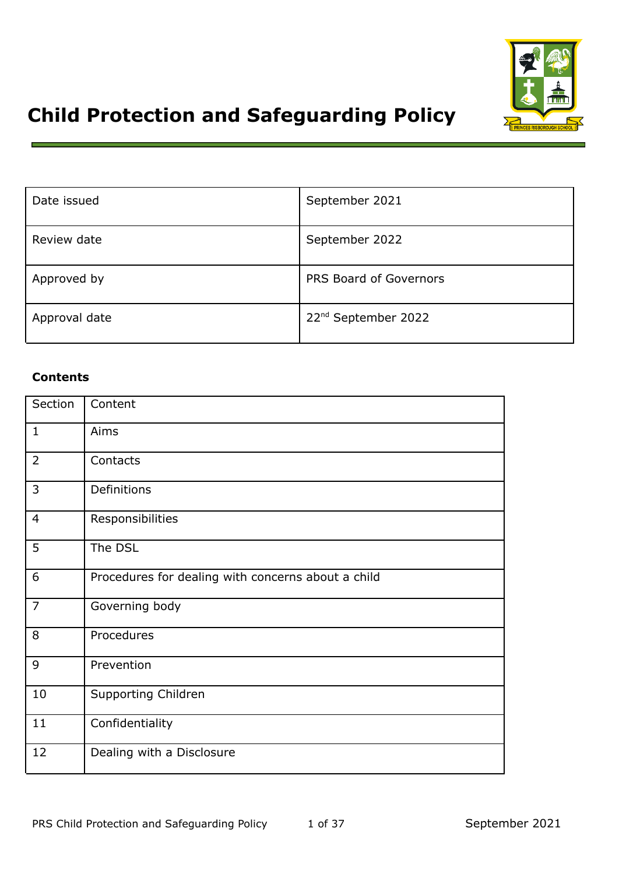

# **Child Protection and Safeguarding Policy**

| Date issued   | September 2021                  |
|---------------|---------------------------------|
| Review date   | September 2022                  |
| Approved by   | PRS Board of Governors          |
| Approval date | 22 <sup>nd</sup> September 2022 |

# **Contents**

| Section        | Content                                            |
|----------------|----------------------------------------------------|
| $\mathbf{1}$   | Aims                                               |
| $\overline{2}$ | Contacts                                           |
| 3              | Definitions                                        |
| $\overline{4}$ | Responsibilities                                   |
| 5              | The DSL                                            |
| 6              | Procedures for dealing with concerns about a child |
| $\overline{7}$ | Governing body                                     |
| 8              | Procedures                                         |
| 9              | Prevention                                         |
| 10             | <b>Supporting Children</b>                         |
| 11             | Confidentiality                                    |
| 12             | Dealing with a Disclosure                          |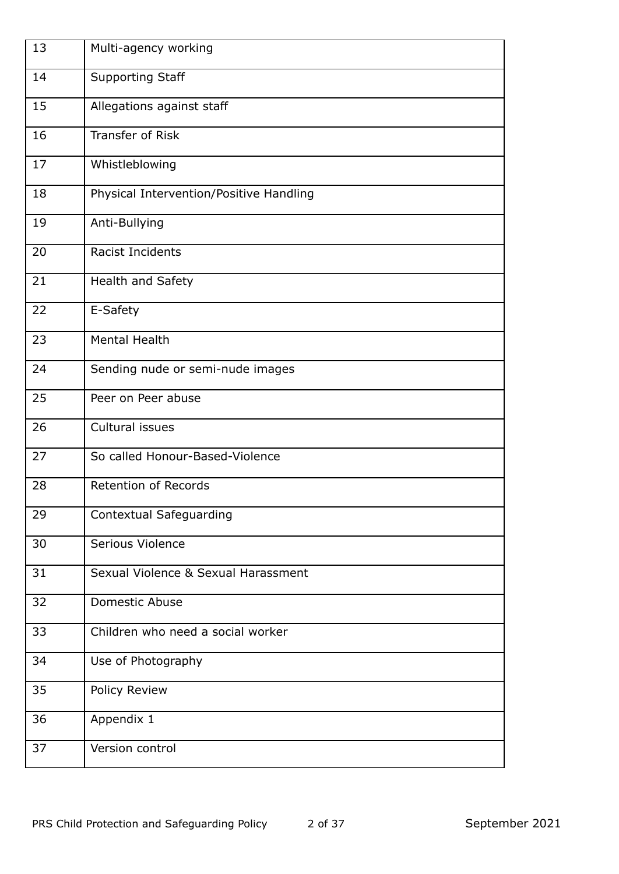| 13 | Multi-agency working                    |
|----|-----------------------------------------|
| 14 | <b>Supporting Staff</b>                 |
| 15 | Allegations against staff               |
| 16 | <b>Transfer of Risk</b>                 |
| 17 | Whistleblowing                          |
| 18 | Physical Intervention/Positive Handling |
| 19 | Anti-Bullying                           |
| 20 | Racist Incidents                        |
| 21 | Health and Safety                       |
| 22 | E-Safety                                |
| 23 | <b>Mental Health</b>                    |
| 24 | Sending nude or semi-nude images        |
| 25 | Peer on Peer abuse                      |
| 26 | Cultural issues                         |
| 27 | So called Honour-Based-Violence         |
| 28 | Retention of Records                    |
| 29 | <b>Contextual Safeguarding</b>          |
| 30 | Serious Violence                        |
| 31 | Sexual Violence & Sexual Harassment     |
| 32 | Domestic Abuse                          |
| 33 | Children who need a social worker       |
| 34 | Use of Photography                      |
| 35 | Policy Review                           |
| 36 | Appendix 1                              |
| 37 | Version control                         |
|    |                                         |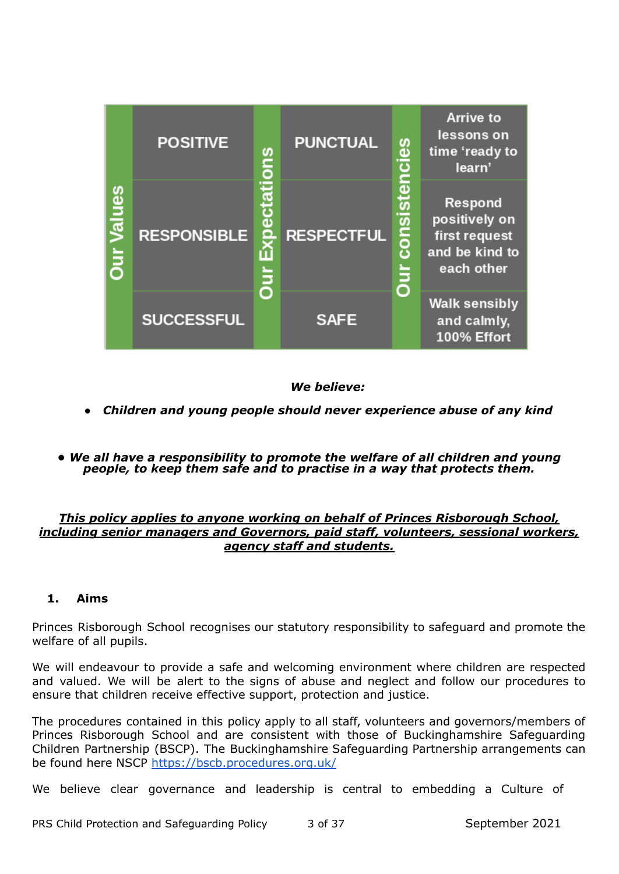|                   | <b>POSITIVE</b>    | ons         | <b>PUNCTUAL</b>   | es                | <b>Arrive to</b><br>lessons on<br>time 'ready to<br>learn'                |
|-------------------|--------------------|-------------|-------------------|-------------------|---------------------------------------------------------------------------|
| <b>Dur Values</b> | <b>RESPONSIBLE</b> | <b>Jiro</b> | <b>RESPECTFUL</b> | <b>CONSI</b><br>5 | Respond<br>positively on<br>first request<br>and be kind to<br>each other |
|                   | <b>SUCCESSFUL</b>  |             | <b>SAFE</b>       |                   | <b>Walk sensibly</b><br>and calmly,<br>100% Effort                        |

## *We believe:*

- *● Children and young people should never experience abuse of any kind*
- *• We all have a responsibility to promote the welfare of all children and young people, to keep them safe and to practise in a way that protects them.*

#### *This policy applies to anyone working on behalf of Princes Risborough School, including senior managers and Governors, paid staff, volunteers, sessional workers, agency staff and students.*

## **1. Aims**

Princes Risborough School recognises our statutory responsibility to safeguard and promote the welfare of all pupils.

We will endeavour to provide a safe and welcoming environment where children are respected and valued. We will be alert to the signs of abuse and neglect and follow our procedures to ensure that children receive effective support, protection and justice.

The procedures contained in this policy apply to all staff, volunteers and governors/members of Princes Risborough School and are consistent with those of Buckinghamshire Safeguarding Children Partnership (BSCP). The Buckinghamshire Safeguarding Partnership arrangements can be found here NSCP <https://bscb.procedures.org.uk/>

We believe clear governance and leadership is central to embedding a Culture of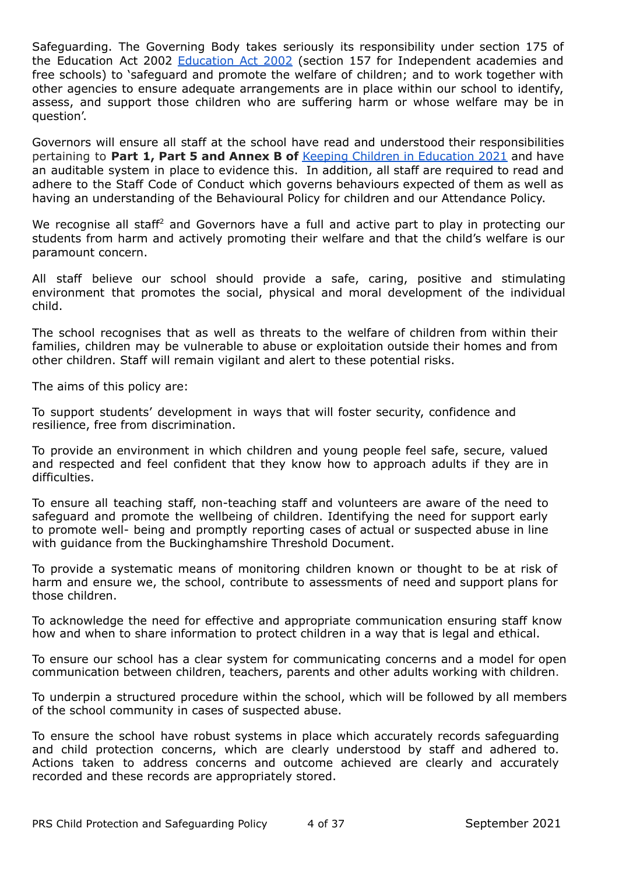Safeguarding. The Governing Body takes seriously its responsibility under section 175 of the Education Act 2002 [Education](https://www.legislation.gov.uk/ukpga/2002/32/section/175) Act 2002 (section 157 for Independent academies and free schools) to 'safeguard and promote the welfare of children; and to work together with other agencies to ensure adequate arrangements are in place within our school to identify, assess, and support those children who are suffering harm or whose welfare may be in question'.

Governors will ensure all staff at the school have read and understood their responsibilities pertaining to **Part 1, Part 5 and Annex B of** Keeping Children in [Education](https://assets.publishing.service.gov.uk/government/uploads/system/uploads/attachment_data/file/999348/Keeping_children_safe_in_education_2021.pdf) 2021 and have an auditable system in place to evidence this. In addition, all staff are required to read and adhere to the Staff Code of Conduct which governs behaviours expected of them as well as having an understanding of the Behavioural Policy for children and our Attendance Policy.

We recognise all staff<sup>2</sup> and Governors have a full and active part to play in protecting our students from harm and actively promoting their welfare and that the child's welfare is our paramount concern.

All staff believe our school should provide a safe, caring, positive and stimulating environment that promotes the social, physical and moral development of the individual child.

The school recognises that as well as threats to the welfare of children from within their families, children may be vulnerable to abuse or exploitation outside their homes and from other children. Staff will remain vigilant and alert to these potential risks.

The aims of this policy are:

To support students' development in ways that will foster security, confidence and resilience, free from discrimination.

To provide an environment in which children and young people feel safe, secure, valued and respected and feel confident that they know how to approach adults if they are in difficulties.

To ensure all teaching staff, non-teaching staff and volunteers are aware of the need to safeguard and promote the wellbeing of children. Identifying the need for support early to promote well- being and promptly reporting cases of actual or suspected abuse in line with guidance from the Buckinghamshire Threshold Document.

To provide a systematic means of monitoring children known or thought to be at risk of harm and ensure we, the school, contribute to assessments of need and support plans for those children.

To acknowledge the need for effective and appropriate communication ensuring staff know how and when to share information to protect children in a way that is legal and ethical.

To ensure our school has a clear system for communicating concerns and a model for open communication between children, teachers, parents and other adults working with children.

To underpin a structured procedure within the school, which will be followed by all members of the school community in cases of suspected abuse.

To ensure the school have robust systems in place which accurately records safeguarding and child protection concerns, which are clearly understood by staff and adhered to. Actions taken to address concerns and outcome achieved are clearly and accurately recorded and these records are appropriately stored.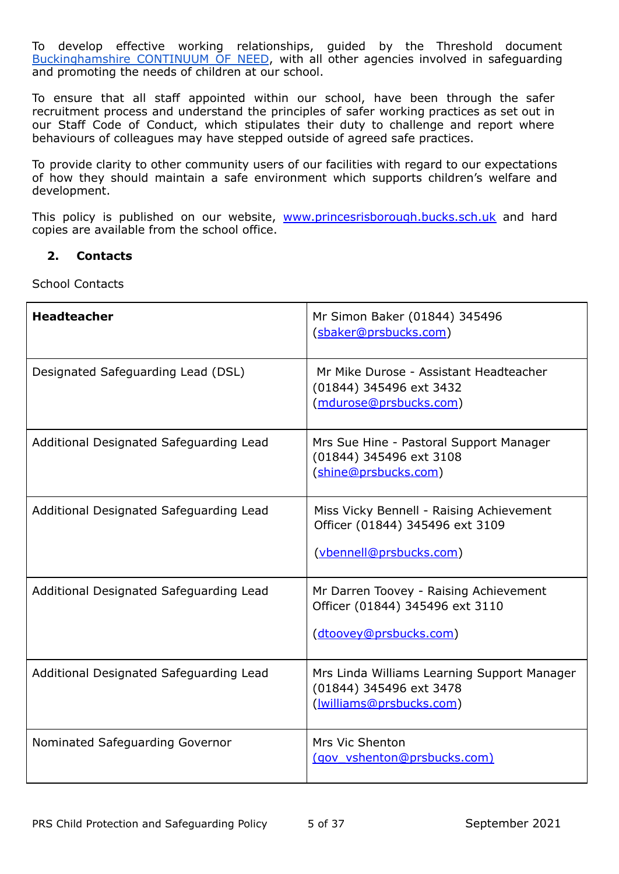To develop effective working relationships, guided by the Threshold document [Buckinghamshire](https://www.buckssafeguarding.org.uk/childrenpartnership/wp-content/uploads/sites/2/2020/08/Threshold-Documents.pdf) CONTINUUM OF NEED, with all other agencies involved in safeguarding and promoting the needs of children at our school.

To ensure that all staff appointed within our school, have been through the safer recruitment process and understand the principles of safer working practices as set out in our Staff Code of Conduct, which stipulates their duty to challenge and report where behaviours of colleagues may have stepped outside of agreed safe practices.

To provide clarity to other community users of our facilities with regard to our expectations of how they should maintain a safe environment which supports children's welfare and development.

This policy is published on our website, [www.princesrisborough.bucks.sch.uk](http://www.princesrisborough.bucks.sch.uk) and hard copies are available from the school office.

#### **2. Contacts**

School Contacts

| <b>Headteacher</b>                      | Mr Simon Baker (01844) 345496<br>(sbaker@prsbucks.com)                                                 |
|-----------------------------------------|--------------------------------------------------------------------------------------------------------|
| Designated Safeguarding Lead (DSL)      | Mr Mike Durose - Assistant Headteacher<br>(01844) 345496 ext 3432<br>(mdurose@prsbucks.com)            |
| Additional Designated Safeguarding Lead | Mrs Sue Hine - Pastoral Support Manager<br>(01844) 345496 ext 3108<br>(shine@prsbucks.com)             |
| Additional Designated Safeguarding Lead | Miss Vicky Bennell - Raising Achievement<br>Officer (01844) 345496 ext 3109<br>(vbennell@prsbucks.com) |
| Additional Designated Safeguarding Lead | Mr Darren Toovey - Raising Achievement<br>Officer (01844) 345496 ext 3110<br>(dtoovey@prsbucks.com)    |
| Additional Designated Safeguarding Lead | Mrs Linda Williams Learning Support Manager<br>(01844) 345496 ext 3478<br>(williams@prsbucks.com)      |
| Nominated Safeguarding Governor         | Mrs Vic Shenton<br>(gov_vshenton@prsbucks.com)                                                         |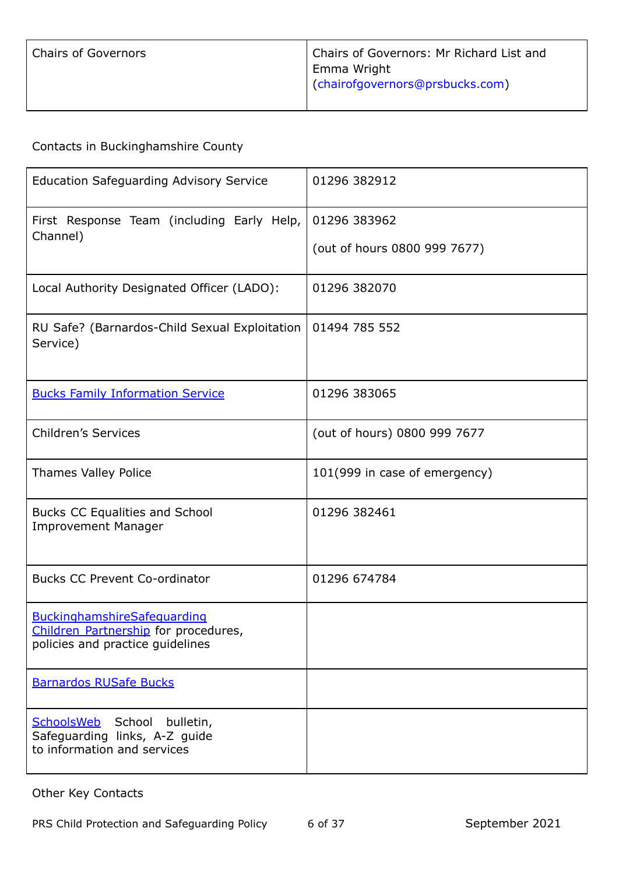Contacts in Buckinghamshire County

| <b>Education Safeguarding Advisory Service</b>                                                                 | 01296 382912                                 |
|----------------------------------------------------------------------------------------------------------------|----------------------------------------------|
| First Response Team (including Early Help,<br>Channel)                                                         | 01296 383962<br>(out of hours 0800 999 7677) |
| Local Authority Designated Officer (LADO):                                                                     | 01296 382070                                 |
| RU Safe? (Barnardos-Child Sexual Exploitation<br>Service)                                                      | 01494 785 552                                |
| <b>Bucks Family Information Service</b>                                                                        | 01296 383065                                 |
| <b>Children's Services</b>                                                                                     | (out of hours) 0800 999 7677                 |
| <b>Thames Valley Police</b>                                                                                    | 101(999 in case of emergency)                |
| Bucks CC Equalities and School<br><b>Improvement Manager</b>                                                   | 01296 382461                                 |
| <b>Bucks CC Prevent Co-ordinator</b>                                                                           | 01296 674784                                 |
| <b>BuckinghamshireSafeguarding</b><br>Children Partnership for procedures,<br>policies and practice guidelines |                                              |
| <b>Barnardos RUSafe Bucks</b>                                                                                  |                                              |
| SchoolsWeb<br>School<br>bulletin,<br>Safeguarding links, A-Z guide<br>to information and services              |                                              |

Other Key Contacts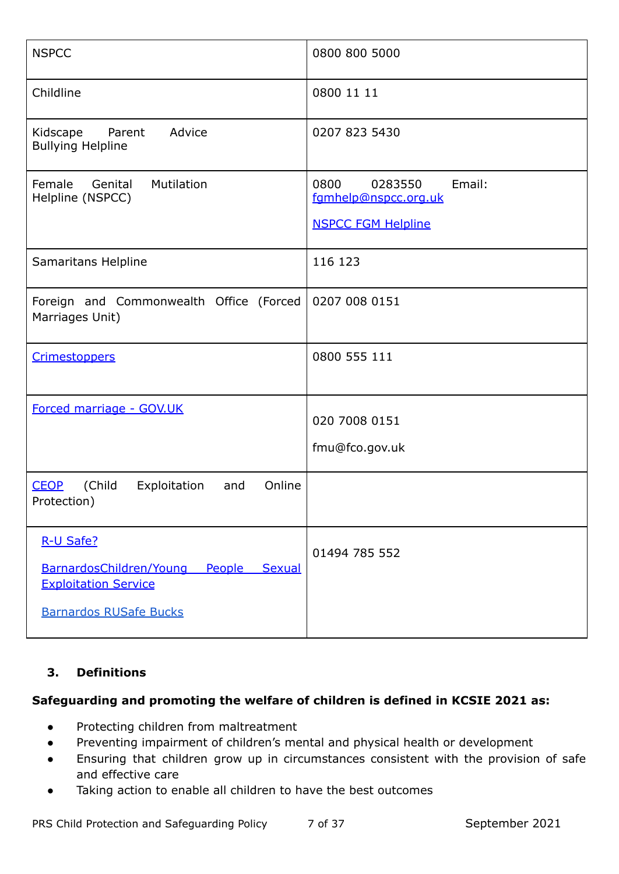| <b>NSPCC</b>                                                                                                          | 0800 800 5000                                                                  |
|-----------------------------------------------------------------------------------------------------------------------|--------------------------------------------------------------------------------|
| Childline                                                                                                             | 0800 11 11                                                                     |
| Kidscape<br>Advice<br>Parent<br><b>Bullying Helpline</b>                                                              | 0207 823 5430                                                                  |
| Genital<br>Mutilation<br>Female<br>Helpline (NSPCC)                                                                   | 0800<br>Email:<br>0283550<br>fgmhelp@nspcc.org.uk<br><b>NSPCC FGM Helpline</b> |
| Samaritans Helpline                                                                                                   | 116 123                                                                        |
| Foreign and Commonwealth Office (Forced<br>Marriages Unit)                                                            | 0207 008 0151                                                                  |
| <b>Crimestoppers</b>                                                                                                  | 0800 555 111                                                                   |
| Forced marriage - GOV.UK                                                                                              | 020 7008 0151<br>fmu@fco.gov.uk                                                |
| (Child<br>Online<br><b>CEOP</b><br>Exploitation<br>and<br>Protection)                                                 |                                                                                |
| R-U Safe?<br>BarnardosChildren/Young People<br>Sexual<br><b>Exploitation Service</b><br><b>Barnardos RUSafe Bucks</b> | 01494 785 552                                                                  |

# **3. Definitions**

# **Safeguarding and promoting the welfare of children is defined in KCSIE 2021 as:**

- Protecting children from maltreatment
- Preventing impairment of children's mental and physical health or development
- Ensuring that children grow up in circumstances consistent with the provision of safe and effective care
- Taking action to enable all children to have the best outcomes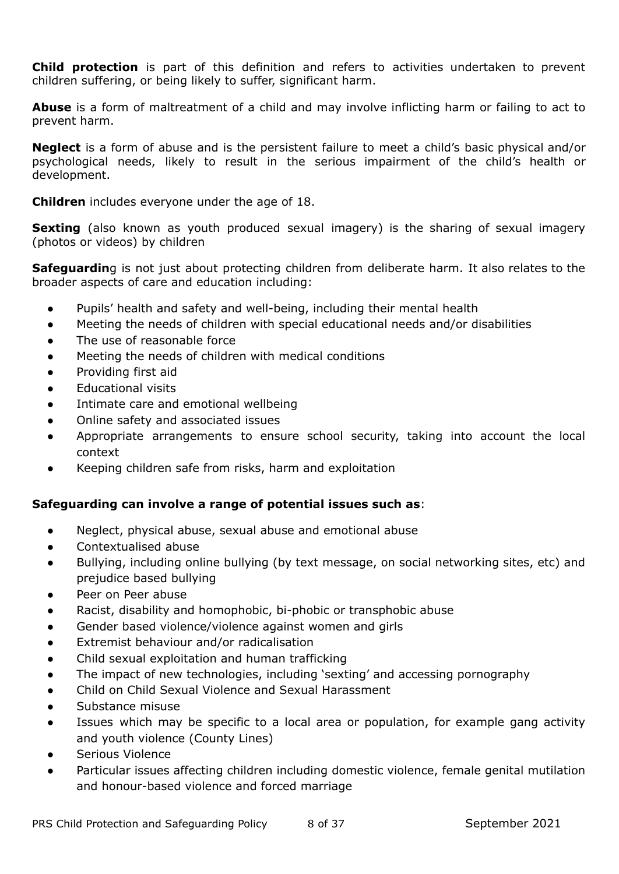**Child protection** is part of this definition and refers to activities undertaken to prevent children suffering, or being likely to suffer, significant harm.

**Abuse** is a form of maltreatment of a child and may involve inflicting harm or failing to act to prevent harm.

**Neglect** is a form of abuse and is the persistent failure to meet a child's basic physical and/or psychological needs, likely to result in the serious impairment of the child's health or development.

**Children** includes everyone under the age of 18.

**Sexting** (also known as youth produced sexual imagery) is the sharing of sexual imagery (photos or videos) by children

**Safeguardin**g is not just about protecting children from deliberate harm. It also relates to the broader aspects of care and education including:

- Pupils' health and safety and well-being, including their mental health
- Meeting the needs of children with special educational needs and/or disabilities
- The use of reasonable force
- Meeting the needs of children with medical conditions
- Providing first aid
- **Educational visits**
- Intimate care and emotional wellbeing
- Online safety and associated issues
- Appropriate arrangements to ensure school security, taking into account the local context
- Keeping children safe from risks, harm and exploitation

## **Safeguarding can involve a range of potential issues such as**:

- Neglect, physical abuse, sexual abuse and emotional abuse
- Contextualised abuse
- Bullying, including online bullying (by text message, on social networking sites, etc) and prejudice based bullying
- Peer on Peer abuse
- Racist, disability and homophobic, bi-phobic or transphobic abuse
- Gender based violence/violence against women and girls
- Extremist behaviour and/or radicalisation
- Child sexual exploitation and human trafficking
- The impact of new technologies, including 'sexting' and accessing pornography
- Child on Child Sexual Violence and Sexual Harassment
- Substance misuse
- Issues which may be specific to a local area or population, for example gang activity and youth violence (County Lines)
- Serious Violence
- Particular issues affecting children including domestic violence, female genital mutilation and honour-based violence and forced marriage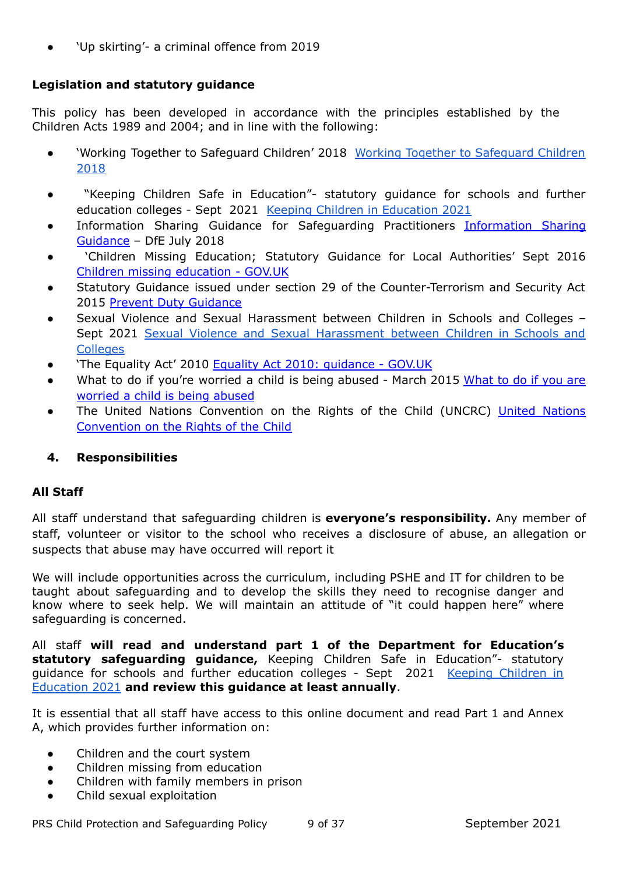'Up skirting'- a criminal offence from 2019

# **Legislation and statutory guidance**

This policy has been developed in accordance with the principles established by the Children Acts 1989 and 2004; and in line with the following:

- 'Working Together to Safeguard Children' 2018 Working Together to [Safeguard](https://assets.publishing.service.gov.uk/government/uploads/system/uploads/attachment_data/file/779401/Working_Together_to_Safeguard-Children.pdf) Children [2018](https://assets.publishing.service.gov.uk/government/uploads/system/uploads/attachment_data/file/779401/Working_Together_to_Safeguard-Children.pdf)
- "Keeping Children Safe in Education"- statutory guidance for schools and further education colleges - Sept 2021 Keeping Children in [Education](https://assets.publishing.service.gov.uk/government/uploads/system/uploads/attachment_data/file/999348/Keeping_children_safe_in_education_2021.pdf) 2021
- [Information](https://www.gov.uk/government/publications/safeguarding-practitioners-information-sharing-advice) Sharing Guidance for Safeguarding Practitioners Information Sharing [Guidance](https://www.gov.uk/government/publications/safeguarding-practitioners-information-sharing-advice) – DfE July 2018
- 'Children Missing Education; Statutory Guidance for Local Authorities' Sept 2016 Children missing [education](https://www.gov.uk/government/publications/children-missing-education) - GOV.UK
- Statutory Guidance issued under section 29 of the Counter-Terrorism and Security Act 2015 Prevent Duty [Guidance](https://www.gov.uk/government/publications/prevent-duty-guidance)
- Sexual Violence and Sexual Harassment between Children in Schools and Colleges Sept 2021 Sexual Violence and Sexual [Harassment](https://assets.publishing.service.gov.uk/government/uploads/system/uploads/attachment_data/file/999239/SVSH_2021.pdf) between Children in Schools and **[Colleges](https://assets.publishing.service.gov.uk/government/uploads/system/uploads/attachment_data/file/999239/SVSH_2021.pdf)**
- 'The Equality Act' 2010 Equality Act 2010: quidance GOV.UK
- [What](https://assets.publishing.service.gov.uk/government/uploads/system/uploads/attachment_data/file/419604/What_to_do_if_you_re_worried_a_child_is_being_abused.pdf) to do if you're worried a child is being abused March 2015 What to do if you are [worried](https://assets.publishing.service.gov.uk/government/uploads/system/uploads/attachment_data/file/419604/What_to_do_if_you_re_worried_a_child_is_being_abused.pdf) a child is being abused
- The United [Nations](https://www.gov.uk/government/publications/united-nations-convention-on-the-rights-of-the-child-uncrc-how-legislation-underpins-implementation-in-england) Convention on the Rights of the Child (UNCRC) United Nations [Convention](https://www.gov.uk/government/publications/united-nations-convention-on-the-rights-of-the-child-uncrc-how-legislation-underpins-implementation-in-england) on the Rights of the Child

# **4. Responsibilities**

## **All Staff**

All staff understand that safeguarding children is **everyone's responsibility.** Any member of staff, volunteer or visitor to the school who receives a disclosure of abuse, an allegation or suspects that abuse may have occurred will report it

We will include opportunities across the curriculum, including PSHE and IT for children to be taught about safeguarding and to develop the skills they need to recognise danger and know where to seek help. We will maintain an attitude of "it could happen here" where safeguarding is concerned.

All staff **will read and understand part 1 of the Department for Education's statutory safeguarding guidance,** Keeping Children Safe in Education"- statutory guidance for schools and further education colleges - Sept 2021 Keeping [Children](https://assets.publishing.service.gov.uk/government/uploads/system/uploads/attachment_data/file/999348/Keeping_children_safe_in_education_2021.pdf) in [Education](https://assets.publishing.service.gov.uk/government/uploads/system/uploads/attachment_data/file/999348/Keeping_children_safe_in_education_2021.pdf) 2021 **and review this guidance at least annually**.

It is essential that all staff have access to this online document and read Part 1 and Annex A, which provides further information on:

- Children and the court system
- Children missing from education
- Children with family members in prison
- Child sexual exploitation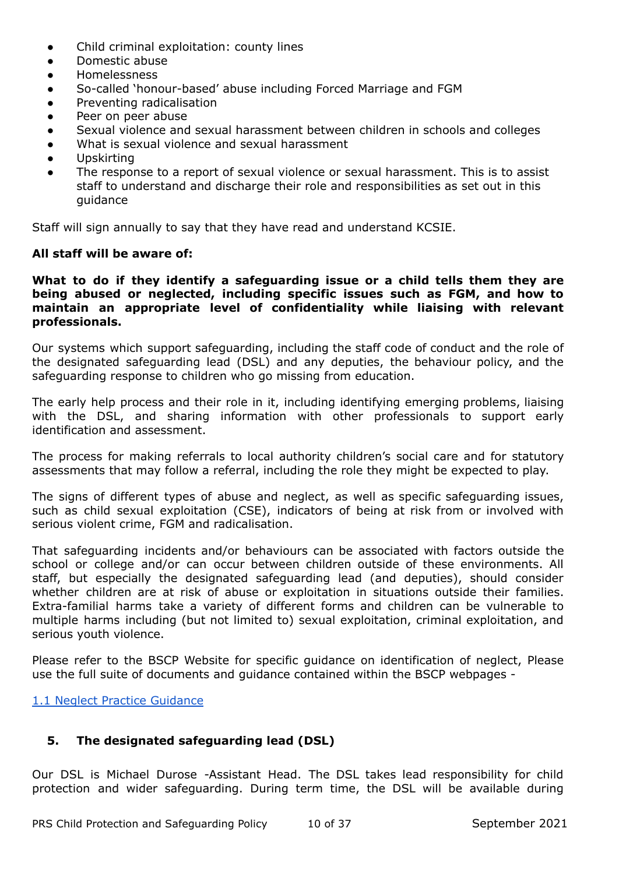- Child criminal exploitation: county lines
- Domestic abuse
- Homelessness
- So-called 'honour-based' abuse including Forced Marriage and FGM
- Preventing radicalisation
- Peer on peer abuse
- Sexual violence and sexual harassment between children in schools and colleges
- What is sexual violence and sexual harassment
- Upskirting
- The response to a report of sexual violence or sexual harassment. This is to assist staff to understand and discharge their role and responsibilities as set out in this guidance

Staff will sign annually to say that they have read and understand KCSIE.

#### **All staff will be aware of:**

#### **What to do if they identify a safeguarding issue or a child tells them they are being abused or neglected, including specific issues such as FGM, and how to maintain an appropriate level of confidentiality while liaising with relevant professionals.**

Our systems which support safeguarding, including the staff code of conduct and the role of the designated safeguarding lead (DSL) and any deputies, the behaviour policy, and the safeguarding response to children who go missing from education.

The early help process and their role in it, including identifying emerging problems, liaising with the DSL, and sharing information with other professionals to support early identification and assessment.

The process for making referrals to local authority children's social care and for statutory assessments that may follow a referral, including the role they might be expected to play.

The signs of different types of abuse and neglect, as well as specific safeguarding issues, such as child sexual exploitation (CSE), indicators of being at risk from or involved with serious violent crime, FGM and radicalisation.

That safeguarding incidents and/or behaviours can be associated with factors outside the school or college and/or can occur between children outside of these environments. All staff, but especially the designated safeguarding lead (and deputies), should consider whether children are at risk of abuse or exploitation in situations outside their families. Extra-familial harms take a variety of different forms and children can be vulnerable to multiple harms including (but not limited to) sexual exploitation, criminal exploitation, and serious youth violence.

Please refer to the BSCP Website for specific guidance on identification of neglect, Please use the full suite of documents and guidance contained within the BSCP webpages -

1.1 Neglect Practice [Guidance](https://bscb.procedures.org.uk/ykosh/assessing-need-and-providing-help/neglect-practice-guidance)

#### **5. The designated safeguarding lead (DSL)**

Our DSL is Michael Durose -Assistant Head. The DSL takes lead responsibility for child protection and wider safeguarding. During term time, the DSL will be available during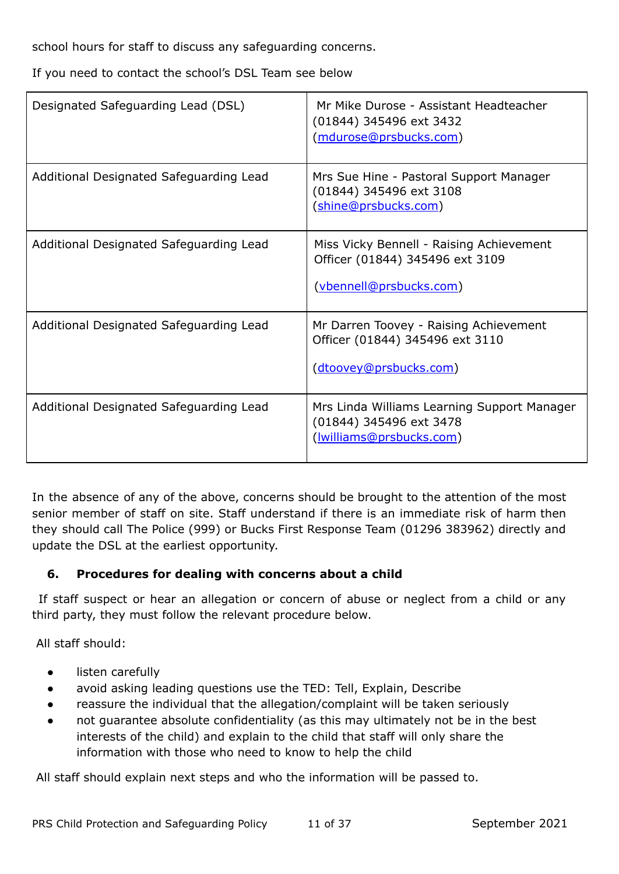school hours for staff to discuss any safeguarding concerns.

If you need to contact the school's DSL Team see below

| Designated Safeguarding Lead (DSL)      | Mr Mike Durose - Assistant Headteacher<br>(01844) 345496 ext 3432<br>(mdurose@prsbucks.com)                   |
|-----------------------------------------|---------------------------------------------------------------------------------------------------------------|
| Additional Designated Safeguarding Lead | Mrs Sue Hine - Pastoral Support Manager<br>(01844) 345496 ext 3108<br>(shine@prsbucks.com)                    |
| Additional Designated Safeguarding Lead | Miss Vicky Bennell - Raising Achievement<br>Officer (01844) 345496 ext 3109<br><u>(vbennell@prsbucks.com)</u> |
| Additional Designated Safeguarding Lead | Mr Darren Toovey - Raising Achievement<br>Officer (01844) 345496 ext 3110<br>(dtoovey@prsbucks.com)           |
| Additional Designated Safeguarding Lead | Mrs Linda Williams Learning Support Manager<br>(01844) 345496 ext 3478<br>( <i>lwilliams@prsbucks.com</i> )   |

In the absence of any of the above, concerns should be brought to the attention of the most senior member of staff on site. Staff understand if there is an immediate risk of harm then they should call The Police (999) or Bucks First Response Team (01296 383962) directly and update the DSL at the earliest opportunity.

# **6. Procedures for dealing with concerns about a child**

If staff suspect or hear an allegation or concern of abuse or neglect from a child or any third party, they must follow the relevant procedure below.

All staff should:

- listen carefully
- avoid asking leading questions use the TED: Tell, Explain, Describe
- reassure the individual that the allegation/complaint will be taken seriously
- not guarantee absolute confidentiality (as this may ultimately not be in the best interests of the child) and explain to the child that staff will only share the information with those who need to know to help the child

All staff should explain next steps and who the information will be passed to.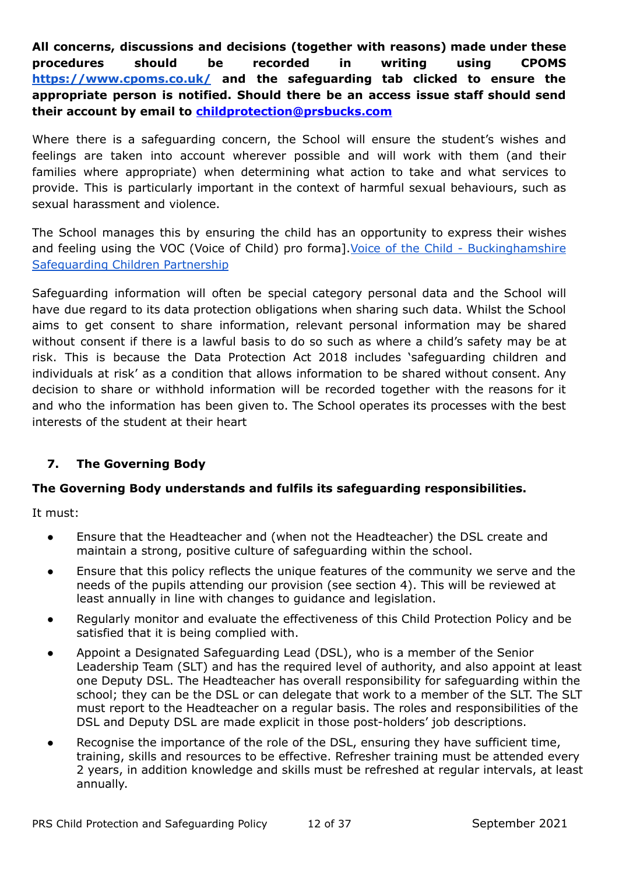**All concerns, discussions and decisions (together with reasons) made under these procedures should be recorded in writing using CPOMS <https://www.cpoms.co.uk/> and the safeguarding tab clicked to ensure the appropriate person is notified. Should there be an access issue staff should send their account by email to [childprotection@prsbucks.com](mailto:childprotection@prsbucks.com)**

Where there is a safeguarding concern, the School will ensure the student's wishes and feelings are taken into account wherever possible and will work with them (and their families where appropriate) when determining what action to take and what services to provide. This is particularly important in the context of harmful sexual behaviours, such as sexual harassment and violence.

The School manages this by ensuring the child has an opportunity to express their wishes and feeling using the VOC (Voice of Child) pro forma].Voice of the Child - [Buckinghamshire](https://www.buckssafeguarding.org.uk/childrenpartnership/professionals/voice-of-the-child/) [Safeguarding](https://www.buckssafeguarding.org.uk/childrenpartnership/professionals/voice-of-the-child/) Children Partnership

Safeguarding information will often be special category personal data and the School will have due regard to its data protection obligations when sharing such data. Whilst the School aims to get consent to share information, relevant personal information may be shared without consent if there is a lawful basis to do so such as where a child's safety may be at risk. This is because the Data Protection Act 2018 includes 'safeguarding children and individuals at risk' as a condition that allows information to be shared without consent. Any decision to share or withhold information will be recorded together with the reasons for it and who the information has been given to. The School operates its processes with the best interests of the student at their heart

# **7. The Governing Body**

# **The Governing Body understands and fulfils its safeguarding responsibilities.**

It must:

- Ensure that the Headteacher and (when not the Headteacher) the DSL create and maintain a strong, positive culture of safeguarding within the school.
- Ensure that this policy reflects the unique features of the community we serve and the needs of the pupils attending our provision (see section 4). This will be reviewed at least annually in line with changes to guidance and legislation.
- Regularly monitor and evaluate the effectiveness of this Child Protection Policy and be satisfied that it is being complied with.
- Appoint a Designated Safeguarding Lead (DSL), who is a member of the Senior Leadership Team (SLT) and has the required level of authority, and also appoint at least one Deputy DSL. The Headteacher has overall responsibility for safeguarding within the school; they can be the DSL or can delegate that work to a member of the SLT. The SLT must report to the Headteacher on a regular basis. The roles and responsibilities of the DSL and Deputy DSL are made explicit in those post-holders' job descriptions.
- Recognise the importance of the role of the DSL, ensuring they have sufficient time, training, skills and resources to be effective. Refresher training must be attended every 2 years, in addition knowledge and skills must be refreshed at regular intervals, at least annually.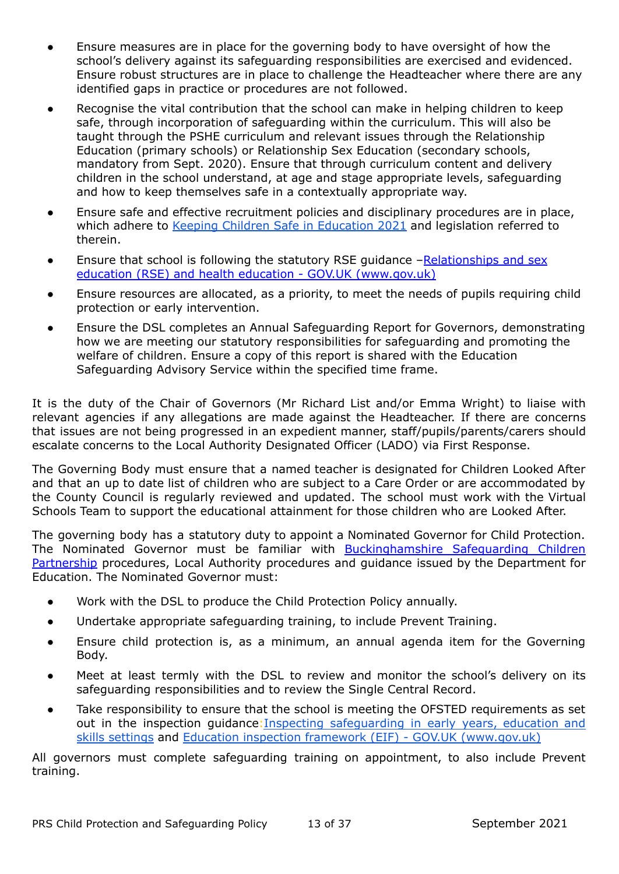- Ensure measures are in place for the governing body to have oversight of how the school's delivery against its safeguarding responsibilities are exercised and evidenced. Ensure robust structures are in place to challenge the Headteacher where there are any identified gaps in practice or procedures are not followed.
- Recognise the vital contribution that the school can make in helping children to keep safe, through incorporation of safeguarding within the curriculum. This will also be taught through the PSHE curriculum and relevant issues through the Relationship Education (primary schools) or Relationship Sex Education (secondary schools, mandatory from Sept. 2020). Ensure that through curriculum content and delivery children in the school understand, at age and stage appropriate levels, safeguarding and how to keep themselves safe in a contextually appropriate way.
- Ensure safe and effective recruitment policies and disciplinary procedures are in place, which adhere to Keeping Children Safe in [Education](https://assets.publishing.service.gov.uk/government/uploads/system/uploads/attachment_data/file/999348/Keeping_children_safe_in_education_2021.pdf) 2021 and legislation referred to therein.
- Ensure that school is following the statutory RSE guidance –[Relationships](https://www.gov.uk/government/publications/relationships-education-relationships-and-sex-education-rse-and-health-education) and sex education (RSE) and health education - GOV.UK [\(www.gov.uk\)](https://www.gov.uk/government/publications/relationships-education-relationships-and-sex-education-rse-and-health-education)
- Ensure resources are allocated, as a priority, to meet the needs of pupils requiring child protection or early intervention.
- Ensure the DSL completes an Annual Safeguarding Report for Governors, demonstrating how we are meeting our statutory responsibilities for safeguarding and promoting the welfare of children. Ensure a copy of this report is shared with the Education Safeguarding Advisory Service within the specified time frame.

It is the duty of the Chair of Governors (Mr Richard List and/or Emma Wright) to liaise with relevant agencies if any allegations are made against the Headteacher. If there are concerns that issues are not being progressed in an expedient manner, staff/pupils/parents/carers should escalate concerns to the Local Authority Designated Officer (LADO) via First Response.

The Governing Body must ensure that a named teacher is designated for Children Looked After and that an up to date list of children who are subject to a Care Order or are accommodated by the County Council is regularly reviewed and updated. The school must work with the Virtual Schools Team to support the educational attainment for those children who are Looked After.

The governing body has a statutory duty to appoint a Nominated Governor for Child Protection. The Nominated Governor must be familiar with **[Buckinghamshire](https://www.bucks-lscb.org.uk/) Safeguarding Children** [Partnership](https://www.bucks-lscb.org.uk/) procedures, Local Authority procedures and guidance issued by the Department for Education. The Nominated Governor must:

- Work with the DSL to produce the Child Protection Policy annually.
- Undertake appropriate safeguarding training, to include Prevent Training.
- Ensure child protection is, as a minimum, an annual agenda item for the Governing Body.
- Meet at least termly with the DSL to review and monitor the school's delivery on its safeguarding responsibilities and to review the Single Central Record.
- Take responsibility to ensure that the school is meeting the OFSTED requirements as set out in the inspection guidance:Inspecting [safeguarding](https://assets.publishing.service.gov.uk/government/uploads/system/uploads/attachment_data/file/828763/Inspecting_safeguarding_in_early_years__education_and_skills.pdf) in early years, education and skills [settings](https://assets.publishing.service.gov.uk/government/uploads/system/uploads/attachment_data/file/828763/Inspecting_safeguarding_in_early_years__education_and_skills.pdf) and Education inspection framework (EIF) - GOV.UK [\(www.gov.uk\)](https://www.gov.uk/government/publications/education-inspection-framework)

All governors must complete safeguarding training on appointment, to also include Prevent training.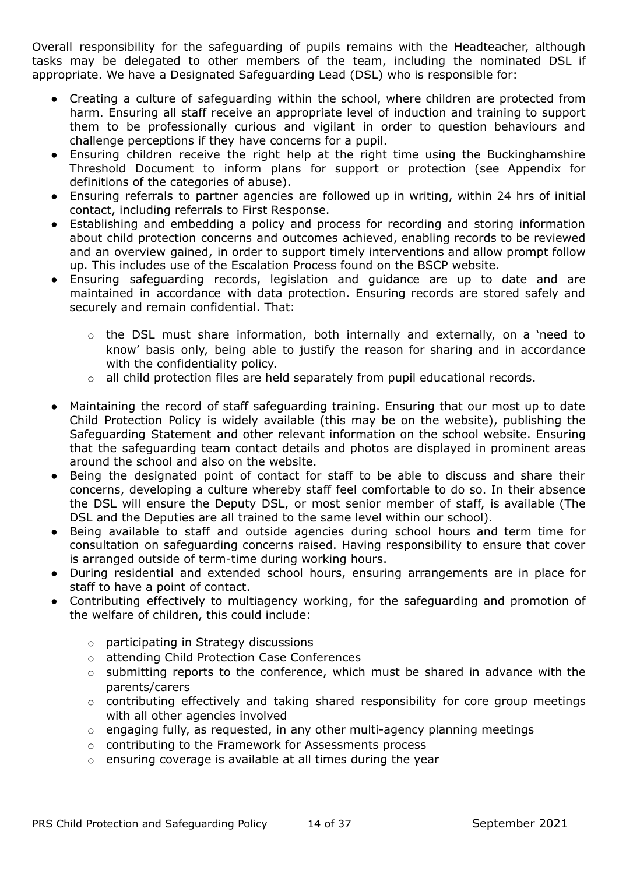Overall responsibility for the safeguarding of pupils remains with the Headteacher, although tasks may be delegated to other members of the team, including the nominated DSL if appropriate. We have a Designated Safeguarding Lead (DSL) who is responsible for:

- Creating a culture of safeguarding within the school, where children are protected from harm. Ensuring all staff receive an appropriate level of induction and training to support them to be professionally curious and vigilant in order to question behaviours and challenge perceptions if they have concerns for a pupil.
- Ensuring children receive the right help at the right time using the Buckinghamshire Threshold Document to inform plans for support or protection (see Appendix for definitions of the categories of abuse).
- Ensuring referrals to partner agencies are followed up in writing, within 24 hrs of initial contact, including referrals to First Response.
- Establishing and embedding a policy and process for recording and storing information about child protection concerns and outcomes achieved, enabling records to be reviewed and an overview gained, in order to support timely interventions and allow prompt follow up. This includes use of the Escalation Process found on the BSCP website.
- Ensuring safeguarding records, legislation and guidance are up to date and are maintained in accordance with data protection. Ensuring records are stored safely and securely and remain confidential. That:
	- o the DSL must share information, both internally and externally, on a 'need to know' basis only, being able to justify the reason for sharing and in accordance with the confidentiality policy.
	- $\circ$  all child protection files are held separately from pupil educational records.
- Maintaining the record of staff safeguarding training. Ensuring that our most up to date Child Protection Policy is widely available (this may be on the website), publishing the Safeguarding Statement and other relevant information on the school website. Ensuring that the safeguarding team contact details and photos are displayed in prominent areas around the school and also on the website.
- Being the designated point of contact for staff to be able to discuss and share their concerns, developing a culture whereby staff feel comfortable to do so. In their absence the DSL will ensure the Deputy DSL, or most senior member of staff, is available (The DSL and the Deputies are all trained to the same level within our school).
- Being available to staff and outside agencies during school hours and term time for consultation on safeguarding concerns raised. Having responsibility to ensure that cover is arranged outside of term-time during working hours.
- During residential and extended school hours, ensuring arrangements are in place for staff to have a point of contact.
- Contributing effectively to multiagency working, for the safeguarding and promotion of the welfare of children, this could include:
	- o participating in Strategy discussions
	- o attending Child Protection Case Conferences
	- o submitting reports to the conference, which must be shared in advance with the parents/carers
	- o contributing effectively and taking shared responsibility for core group meetings with all other agencies involved
	- o engaging fully, as requested, in any other multi-agency planning meetings
	- o contributing to the Framework for Assessments process
	- o ensuring coverage is available at all times during the year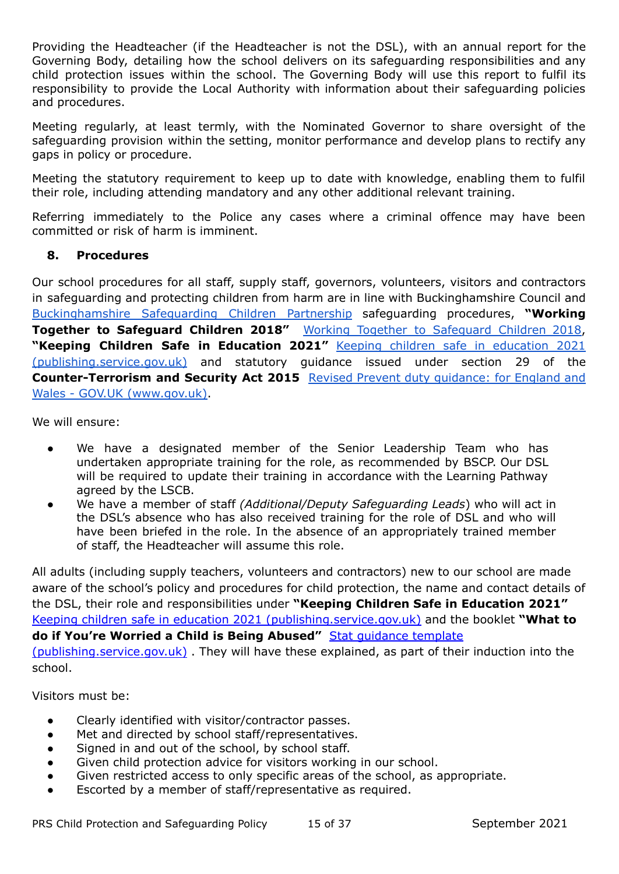Providing the Headteacher (if the Headteacher is not the DSL), with an annual report for the Governing Body, detailing how the school delivers on its safeguarding responsibilities and any child protection issues within the school. The Governing Body will use this report to fulfil its responsibility to provide the Local Authority with information about their safeguarding policies and procedures.

Meeting regularly, at least termly, with the Nominated Governor to share oversight of the safeguarding provision within the setting, monitor performance and develop plans to rectify any gaps in policy or procedure.

Meeting the statutory requirement to keep up to date with knowledge, enabling them to fulfil their role, including attending mandatory and any other additional relevant training.

Referring immediately to the Police any cases where a criminal offence may have been committed or risk of harm is imminent.

# **8. Procedures**

Our school procedures for all staff, supply staff, governors, volunteers, visitors and contractors in safeguarding and protecting children from harm are in line with Buckinghamshire Council an[d](https://www.bucks-lscb.org.uk/) [Buckinghamshire](https://www.bucks-lscb.org.uk/) Safeguarding Children Partnership safeguarding procedures, **"Working Together to Safeguard Children 2018"** Working Together to [Safeguard](https://assets.publishing.service.gov.uk/government/uploads/system/uploads/attachment_data/file/942454/Working_together_to_safeguard_children_inter_agency_guidance.pdf) Children 2018, **"Keeping Children Safe in Education 2021"** Keeping children safe in [education](https://assets.publishing.service.gov.uk/government/uploads/system/uploads/attachment_data/file/999348/Keeping_children_safe_in_education_2021.pdf) 2021 [\(publishing.service.gov.uk\)](https://assets.publishing.service.gov.uk/government/uploads/system/uploads/attachment_data/file/999348/Keeping_children_safe_in_education_2021.pdf) and statutory guidance issued under section 29 of the **Counter-Terrorism and Security Act 2015** Revised Prevent duty [guidance:](https://www.gov.uk/government/publications/prevent-duty-guidance/revised-prevent-duty-guidance-for-england-and-wales) for England and Wales - GOV.UK [\(www.gov.uk\).](https://www.gov.uk/government/publications/prevent-duty-guidance/revised-prevent-duty-guidance-for-england-and-wales)

We will ensure:

- We have a designated member of the Senior Leadership Team who has undertaken appropriate training for the role, as recommended by BSCP. Our DSL will be required to update their training in accordance with the Learning Pathway agreed by the LSCB.
- We have a member of staff *(Additional/Deputy Safeguarding Leads*) who will act in the DSL's absence who has also received training for the role of DSL and who will have been briefed in the role. In the absence of an appropriately trained member of staff, the Headteacher will assume this role.

All adults (including supply teachers, volunteers and contractors) new to our school are made aware of the school's policy and procedures for child protection, the name and contact details of the DSL, their role and responsibilities under **"Keeping Children Safe in Education 2021"** Keeping children safe in education 2021 [\(publishing.service.gov.uk\)](https://assets.publishing.service.gov.uk/government/uploads/system/uploads/attachment_data/file/999348/Keeping_children_safe_in_education_2021.pdf) and the booklet **"What to do if You're Worried a Child is Being Abused"** Stat [guidance](https://assets.publishing.service.gov.uk/government/uploads/system/uploads/attachment_data/file/419604/What_to_do_if_you_re_worried_a_child_is_being_abused.pdf) template [\(publishing.service.gov.uk\)](https://assets.publishing.service.gov.uk/government/uploads/system/uploads/attachment_data/file/419604/What_to_do_if_you_re_worried_a_child_is_being_abused.pdf) . They will have these explained, as part of their induction into the school.

Visitors must be:

- **●** Clearly identified with visitor/contractor passes.
- **●** Met and directed by school staff/representatives.
- Signed in and out of the school, by school staff.
- **●** Given child protection advice for visitors working in our school.
- Given restricted access to only specific areas of the school, as appropriate.
- Escorted by a member of staff/representative as required.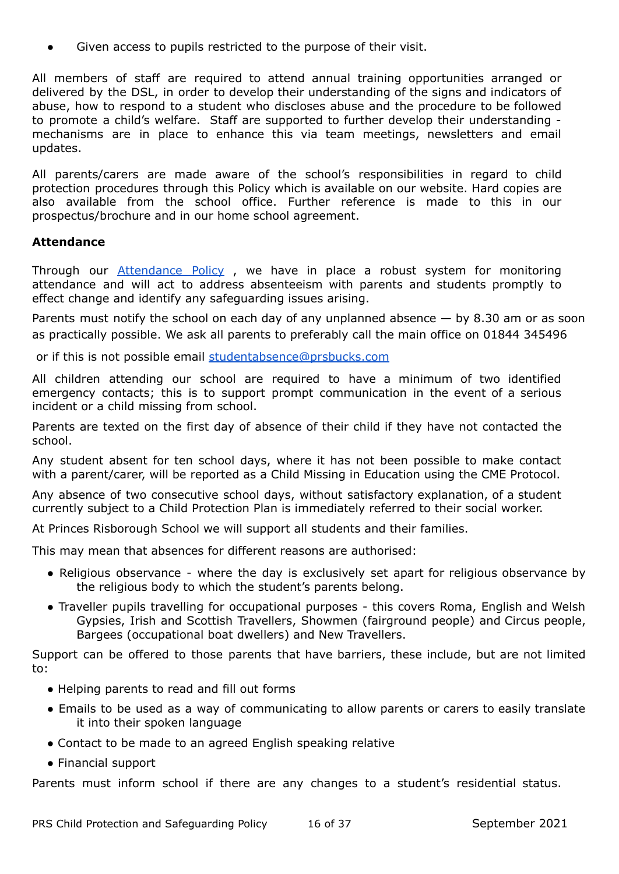Given access to pupils restricted to the purpose of their visit.

All members of staff are required to attend annual training opportunities arranged or delivered by the DSL, in order to develop their understanding of the signs and indicators of abuse, how to respond to a student who discloses abuse and the procedure to be followed to promote a child's welfare. Staff are supported to further develop their understanding mechanisms are in place to enhance this via team meetings, newsletters and email updates.

All parents/carers are made aware of the school's responsibilities in regard to child protection procedures through this Policy which is available on our website. Hard copies are also available from the school office. Further reference is made to this in our prospectus/brochure and in our home school agreement.

#### **Attendance**

Through our [Attendance](https://www.princesrisborough.bucks.sch.uk/docs/policies/New_Format_Policies/Attendance_for_Learning_Policy.pdf) Policy , we have in place a robust system for monitoring attendance and will act to address absenteeism with parents and students promptly to effect change and identify any safeguarding issues arising.

Parents must notify the school on each day of any unplanned absence  $-$  by 8.30 am or as soon as practically possible. We ask all parents to preferably call the main office on 01844 345496

or if this is not possible email [studentabsence@prsbucks.com](mailto:studentabsence@prsbucks.com)

All children attending our school are required to have a minimum of two identified emergency contacts; this is to support prompt communication in the event of a serious incident or a child missing from school.

Parents are texted on the first day of absence of their child if they have not contacted the school.

Any student absent for ten school days, where it has not been possible to make contact with a parent/carer, will be reported as a Child Missing in Education using the CME Protocol.

Any absence of two consecutive school days, without satisfactory explanation, of a student currently subject to a Child Protection Plan is immediately referred to their social worker.

At Princes Risborough School we will support all students and their families.

This may mean that absences for different reasons are authorised:

- Religious observance where the day is exclusively set apart for religious observance by the religious body to which the student's parents belong.
- Traveller pupils travelling for occupational purposes this covers Roma, English and Welsh Gypsies, Irish and Scottish Travellers, Showmen (fairground people) and Circus people, Bargees (occupational boat dwellers) and New Travellers.

Support can be offered to those parents that have barriers, these include, but are not limited to:

- Helping parents to read and fill out forms
- Emails to be used as a way of communicating to allow parents or carers to easily translate it into their spoken language
- Contact to be made to an agreed English speaking relative
- Financial support

Parents must inform school if there are any changes to a student's residential status.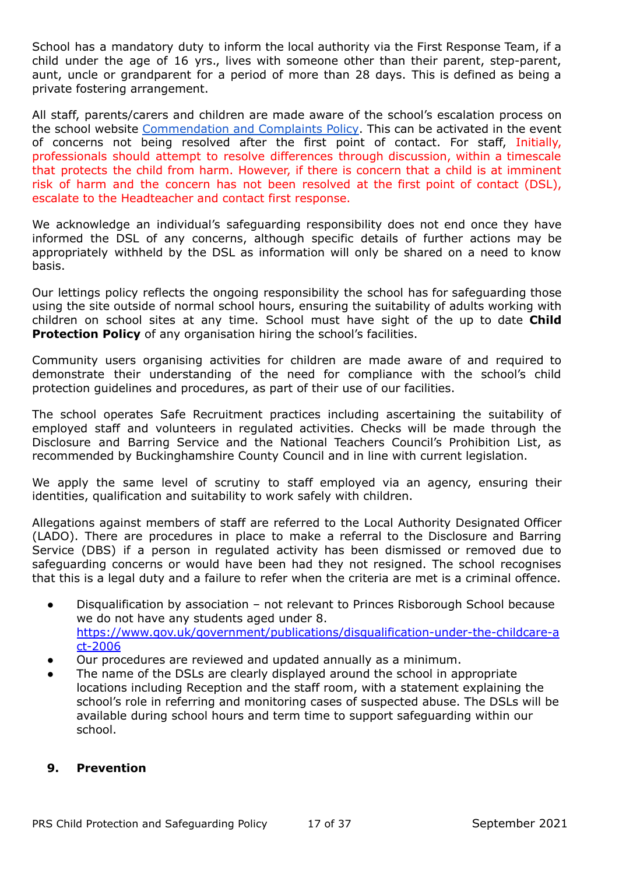School has a mandatory duty to inform the local authority via the First Response Team, if a child under the age of 16 yrs., lives with someone other than their parent, step-parent, aunt, uncle or grandparent for a period of more than 28 days. This is defined as being a private fostering arrangement.

All staff, parents/carers and children are made aware of the school's escalation process on the school website [Commendation](https://www.insignis.org.uk/docs/nov_2020_policies/IAT_-_Commendations_and_Complaints_Policy.pdf) and Complaints Policy. This can be activated in the event of concerns not being resolved after the first point of contact. For staff, Initially, professionals should attempt to resolve differences through discussion, within a timescale that protects the child from harm. However, if there is concern that a child is at imminent risk of harm and the concern has not been resolved at the first point of contact (DSL), escalate to the Headteacher and contact first response.

We acknowledge an individual's safeguarding responsibility does not end once they have informed the DSL of any concerns, although specific details of further actions may be appropriately withheld by the DSL as information will only be shared on a need to know basis.

Our lettings policy reflects the ongoing responsibility the school has for safeguarding those using the site outside of normal school hours, ensuring the suitability of adults working with children on school sites at any time. School must have sight of the up to date **Child Protection Policy** of any organisation hiring the school's facilities.

Community users organising activities for children are made aware of and required to demonstrate their understanding of the need for compliance with the school's child protection guidelines and procedures, as part of their use of our facilities.

The school operates Safe Recruitment practices including ascertaining the suitability of employed staff and volunteers in regulated activities. Checks will be made through the Disclosure and Barring Service and the National Teachers Council's Prohibition List, as recommended by Buckinghamshire County Council and in line with current legislation.

We apply the same level of scrutiny to staff employed via an agency, ensuring their identities, qualification and suitability to work safely with children.

Allegations against members of staff are referred to the Local Authority Designated Officer (LADO). There are procedures in place to make a referral to the Disclosure and Barring Service (DBS) if a person in regulated activity has been dismissed or removed due to safeguarding concerns or would have been had they not resigned. The school recognises that this is a legal duty and a failure to refer when the criteria are met is a criminal offence.

- Disqualification by association not relevant to Princes Risborough School because we do not have any students aged under 8. [https://www.gov.uk/government/publications/disqualification-under-the-childcare-a](https://www.gov.uk/government/publications/disqualification-under-the-childcare-act-2006) [ct-2006](https://www.gov.uk/government/publications/disqualification-under-the-childcare-act-2006)
- Our procedures are reviewed and updated annually as a minimum.
- The name of the DSLs are clearly displayed around the school in appropriate locations including Reception and the staff room, with a statement explaining the school's role in referring and monitoring cases of suspected abuse. The DSLs will be available during school hours and term time to support safeguarding within our school.

#### **9. Prevention**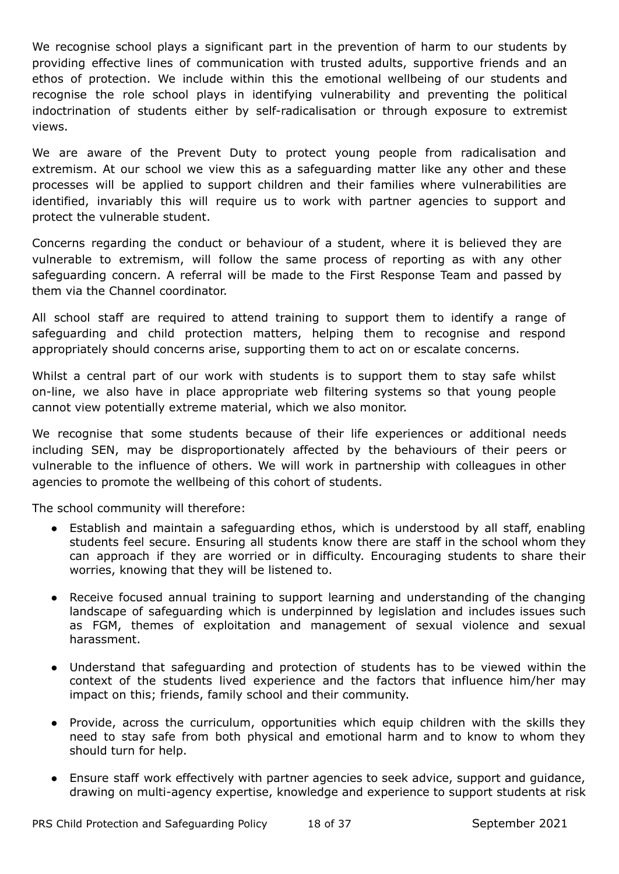We recognise school plays a significant part in the prevention of harm to our students by providing effective lines of communication with trusted adults, supportive friends and an ethos of protection. We include within this the emotional wellbeing of our students and recognise the role school plays in identifying vulnerability and preventing the political indoctrination of students either by self-radicalisation or through exposure to extremist views.

We are aware of the Prevent Duty to protect young people from radicalisation and extremism. At our school we view this as a safeguarding matter like any other and these processes will be applied to support children and their families where vulnerabilities are identified, invariably this will require us to work with partner agencies to support and protect the vulnerable student.

Concerns regarding the conduct or behaviour of a student, where it is believed they are vulnerable to extremism, will follow the same process of reporting as with any other safeguarding concern. A referral will be made to the First Response Team and passed by them via the Channel coordinator.

All school staff are required to attend training to support them to identify a range of safeguarding and child protection matters, helping them to recognise and respond appropriately should concerns arise, supporting them to act on or escalate concerns.

Whilst a central part of our work with students is to support them to stay safe whilst on-line, we also have in place appropriate web filtering systems so that young people cannot view potentially extreme material, which we also monitor.

We recognise that some students because of their life experiences or additional needs including SEN, may be disproportionately affected by the behaviours of their peers or vulnerable to the influence of others. We will work in partnership with colleagues in other agencies to promote the wellbeing of this cohort of students.

The school community will therefore:

- Establish and maintain a safeguarding ethos, which is understood by all staff, enabling students feel secure. Ensuring all students know there are staff in the school whom they can approach if they are worried or in difficulty. Encouraging students to share their worries, knowing that they will be listened to.
- Receive focused annual training to support learning and understanding of the changing landscape of safeguarding which is underpinned by legislation and includes issues such as FGM, themes of exploitation and management of sexual violence and sexual harassment.
- Understand that safeguarding and protection of students has to be viewed within the context of the students lived experience and the factors that influence him/her may impact on this; friends, family school and their community.
- Provide, across the curriculum, opportunities which equip children with the skills they need to stay safe from both physical and emotional harm and to know to whom they should turn for help.
- Ensure staff work effectively with partner agencies to seek advice, support and guidance, drawing on multi-agency expertise, knowledge and experience to support students at risk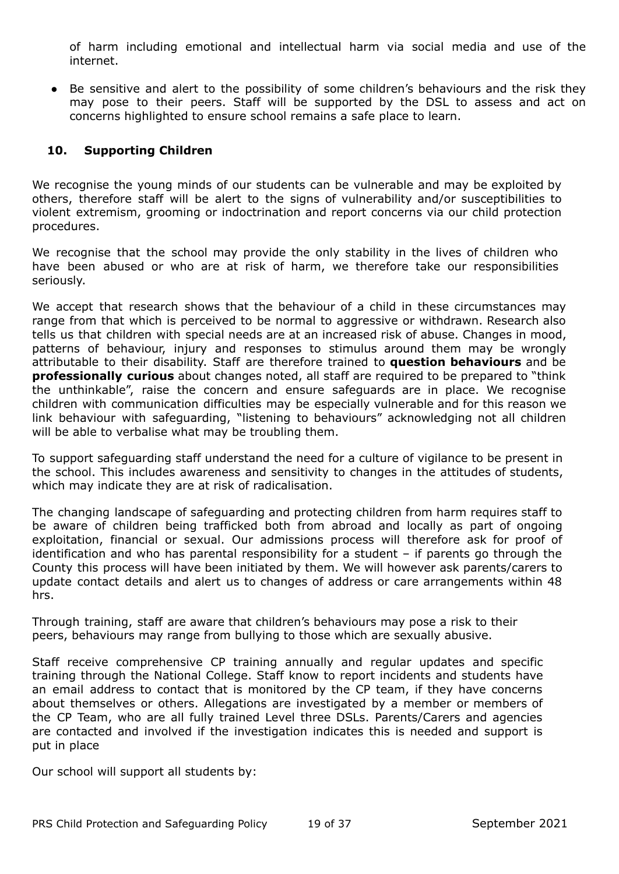of harm including emotional and intellectual harm via social media and use of the internet.

● Be sensitive and alert to the possibility of some children's behaviours and the risk they may pose to their peers. Staff will be supported by the DSL to assess and act on concerns highlighted to ensure school remains a safe place to learn.

## **10. Supporting Children**

We recognise the young minds of our students can be vulnerable and may be exploited by others, therefore staff will be alert to the signs of vulnerability and/or susceptibilities to violent extremism, grooming or indoctrination and report concerns via our child protection procedures.

We recognise that the school may provide the only stability in the lives of children who have been abused or who are at risk of harm, we therefore take our responsibilities seriously.

We accept that research shows that the behaviour of a child in these circumstances may range from that which is perceived to be normal to aggressive or withdrawn. Research also tells us that children with special needs are at an increased risk of abuse. Changes in mood, patterns of behaviour, injury and responses to stimulus around them may be wrongly attributable to their disability. Staff are therefore trained to **question behaviours** and be **professionally curious** about changes noted, all staff are required to be prepared to "think the unthinkable", raise the concern and ensure safeguards are in place. We recognise children with communication difficulties may be especially vulnerable and for this reason we link behaviour with safeguarding, "listening to behaviours" acknowledging not all children will be able to verbalise what may be troubling them.

To support safeguarding staff understand the need for a culture of vigilance to be present in the school. This includes awareness and sensitivity to changes in the attitudes of students, which may indicate they are at risk of radicalisation.

The changing landscape of safeguarding and protecting children from harm requires staff to be aware of children being trafficked both from abroad and locally as part of ongoing exploitation, financial or sexual. Our admissions process will therefore ask for proof of identification and who has parental responsibility for a student – if parents go through the County this process will have been initiated by them. We will however ask parents/carers to update contact details and alert us to changes of address or care arrangements within 48 hrs.

Through training, staff are aware that children's behaviours may pose a risk to their peers, behaviours may range from bullying to those which are sexually abusive.

Staff receive comprehensive CP training annually and regular updates and specific training through the National College. Staff know to report incidents and students have an email address to contact that is monitored by the CP team, if they have concerns about themselves or others. Allegations are investigated by a member or members of the CP Team, who are all fully trained Level three DSLs. Parents/Carers and agencies are contacted and involved if the investigation indicates this is needed and support is put in place

Our school will support all students by: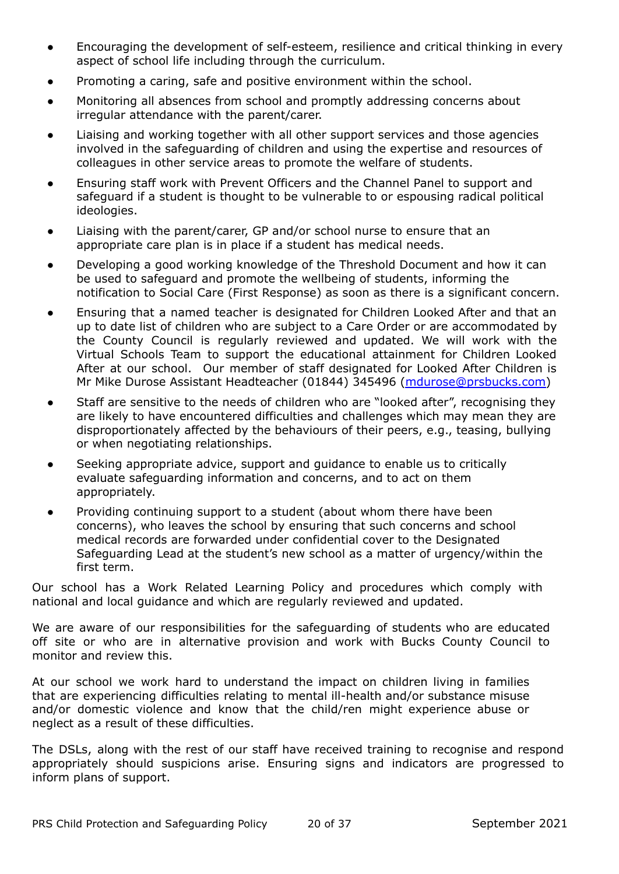- Encouraging the development of self-esteem, resilience and critical thinking in every aspect of school life including through the curriculum.
- Promoting a caring, safe and positive environment within the school.
- Monitoring all absences from school and promptly addressing concerns about irregular attendance with the parent/carer.
- Liaising and working together with all other support services and those agencies involved in the safeguarding of children and using the expertise and resources of colleagues in other service areas to promote the welfare of students.
- Ensuring staff work with Prevent Officers and the Channel Panel to support and safeguard if a student is thought to be vulnerable to or espousing radical political ideologies.
- Liaising with the parent/carer, GP and/or school nurse to ensure that an appropriate care plan is in place if a student has medical needs.
- Developing a good working knowledge of the Threshold Document and how it can be used to safeguard and promote the wellbeing of students, informing the notification to Social Care (First Response) as soon as there is a significant concern.
- Ensuring that a named teacher is designated for Children Looked After and that an up to date list of children who are subject to a Care Order or are accommodated by the County Council is regularly reviewed and updated. We will work with the Virtual Schools Team to support the educational attainment for Children Looked After at our school. Our member of staff designated for Looked After Children is Mr Mike Durose Assistant Headteacher (01844) 345496 [\(mdurose@prsbucks.com\)](mailto:mdurose@prsbucks.com)
- Staff are sensitive to the needs of children who are "looked after", recognising they are likely to have encountered difficulties and challenges which may mean they are disproportionately affected by the behaviours of their peers, e.g., teasing, bullying or when negotiating relationships.
- Seeking appropriate advice, support and guidance to enable us to critically evaluate safeguarding information and concerns, and to act on them appropriately.
- Providing continuing support to a student (about whom there have been concerns), who leaves the school by ensuring that such concerns and school medical records are forwarded under confidential cover to the Designated Safeguarding Lead at the student's new school as a matter of urgency/within the first term.

Our school has a Work Related Learning Policy and procedures which comply with national and local guidance and which are regularly reviewed and updated.

We are aware of our responsibilities for the safeguarding of students who are educated off site or who are in alternative provision and work with Bucks County Council to monitor and review this.

At our school we work hard to understand the impact on children living in families that are experiencing difficulties relating to mental ill-health and/or substance misuse and/or domestic violence and know that the child/ren might experience abuse or neglect as a result of these difficulties.

The DSLs, along with the rest of our staff have received training to recognise and respond appropriately should suspicions arise. Ensuring signs and indicators are progressed to inform plans of support.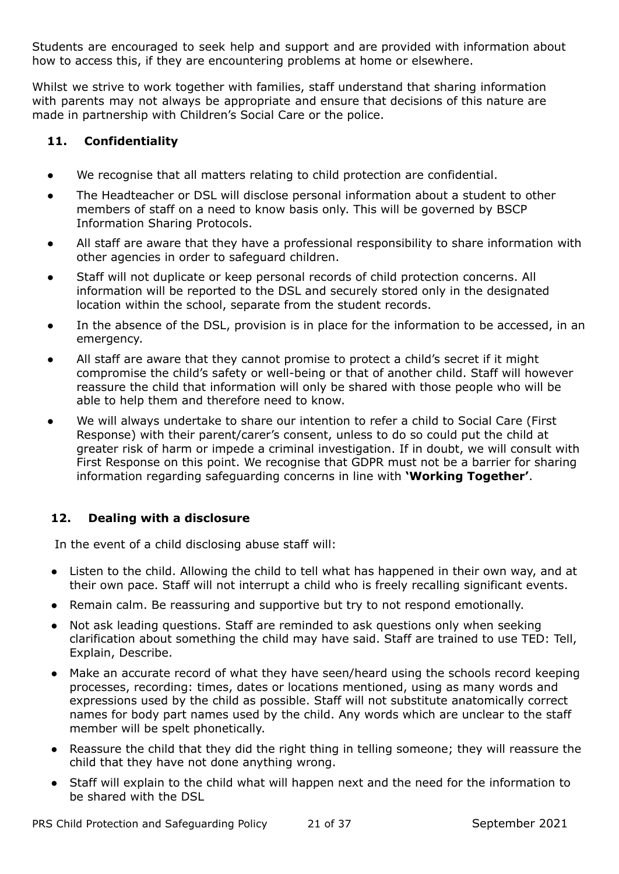Students are encouraged to seek help and support and are provided with information about how to access this, if they are encountering problems at home or elsewhere.

Whilst we strive to work together with families, staff understand that sharing information with parents may not always be appropriate and ensure that decisions of this nature are made in partnership with Children's Social Care or the police.

# **11. Confidentiality**

- We recognise that all matters relating to child protection are confidential.
- The Headteacher or DSL will disclose personal information about a student to other members of staff on a need to know basis only. This will be governed by BSCP Information Sharing Protocols.
- All staff are aware that they have a professional responsibility to share information with other agencies in order to safeguard children.
- Staff will not duplicate or keep personal records of child protection concerns. All information will be reported to the DSL and securely stored only in the designated location within the school, separate from the student records.
- In the absence of the DSL, provision is in place for the information to be accessed, in an emergency.
- All staff are aware that they cannot promise to protect a child's secret if it might compromise the child's safety or well-being or that of another child. Staff will however reassure the child that information will only be shared with those people who will be able to help them and therefore need to know.
- We will always undertake to share our intention to refer a child to Social Care (First Response) with their parent/carer's consent, unless to do so could put the child at greater risk of harm or impede a criminal investigation. If in doubt, we will consult with First Response on this point. We recognise that GDPR must not be a barrier for sharing information regarding safeguarding concerns in line with **'Working Together'**.

# **12. Dealing with a disclosure**

In the event of a child disclosing abuse staff will:

- Listen to the child. Allowing the child to tell what has happened in their own way, and at their own pace. Staff will not interrupt a child who is freely recalling significant events.
- Remain calm. Be reassuring and supportive but try to not respond emotionally.
- Not ask leading questions. Staff are reminded to ask questions only when seeking clarification about something the child may have said. Staff are trained to use TED: Tell, Explain, Describe.
- Make an accurate record of what they have seen/heard using the schools record keeping processes, recording: times, dates or locations mentioned, using as many words and expressions used by the child as possible. Staff will not substitute anatomically correct names for body part names used by the child. Any words which are unclear to the staff member will be spelt phonetically.
- Reassure the child that they did the right thing in telling someone; they will reassure the child that they have not done anything wrong.
- Staff will explain to the child what will happen next and the need for the information to be shared with the DSL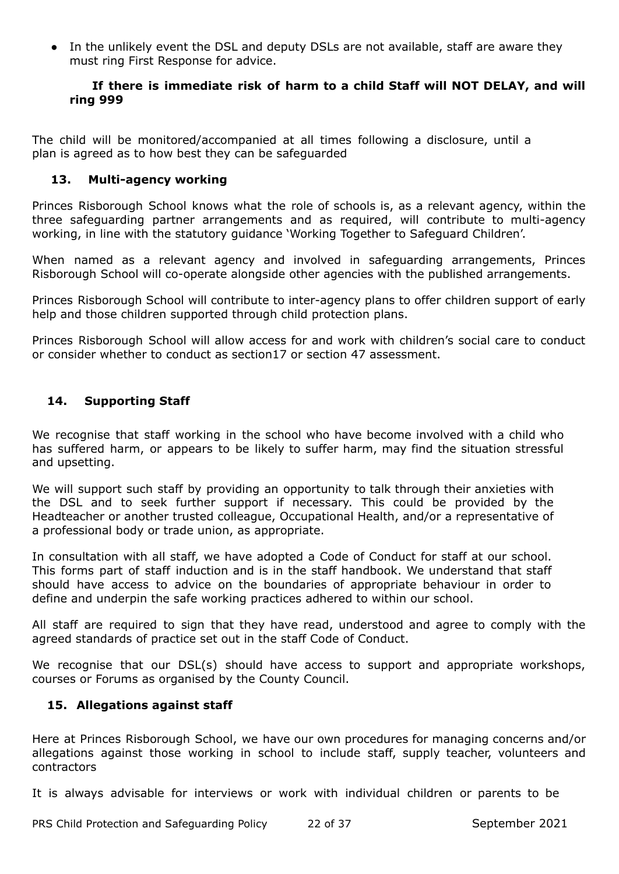• In the unlikely event the DSL and deputy DSLs are not available, staff are aware they must ring First Response for advice.

#### **If there is immediate risk of harm to a child Staff will NOT DELAY, and will ring 999**

The child will be monitored/accompanied at all times following a disclosure, until a plan is agreed as to how best they can be safeguarded

## **13. Multi-agency working**

Princes Risborough School knows what the role of schools is, as a relevant agency, within the three safeguarding partner arrangements and as required, will contribute to multi-agency working, in line with the statutory guidance 'Working Together to Safeguard Children'.

When named as a relevant agency and involved in safeguarding arrangements, Princes Risborough School will co-operate alongside other agencies with the published arrangements.

Princes Risborough School will contribute to inter-agency plans to offer children support of early help and those children supported through child protection plans.

Princes Risborough School will allow access for and work with children's social care to conduct or consider whether to conduct as section17 or section 47 assessment.

# **14. Supporting Staff**

We recognise that staff working in the school who have become involved with a child who has suffered harm, or appears to be likely to suffer harm, may find the situation stressful and upsetting.

We will support such staff by providing an opportunity to talk through their anxieties with the DSL and to seek further support if necessary. This could be provided by the Headteacher or another trusted colleague, Occupational Health, and/or a representative of a professional body or trade union, as appropriate.

In consultation with all staff, we have adopted a Code of Conduct for staff at our school. This forms part of staff induction and is in the staff handbook. We understand that staff should have access to advice on the boundaries of appropriate behaviour in order to define and underpin the safe working practices adhered to within our school.

All staff are required to sign that they have read, understood and agree to comply with the agreed standards of practice set out in the staff Code of Conduct.

We recognise that our DSL(s) should have access to support and appropriate workshops, courses or Forums as organised by the County Council.

## **15. Allegations against staff**

Here at Princes Risborough School, we have our own procedures for managing concerns and/or allegations against those working in school to include staff, supply teacher, volunteers and contractors

It is always advisable for interviews or work with individual children or parents to be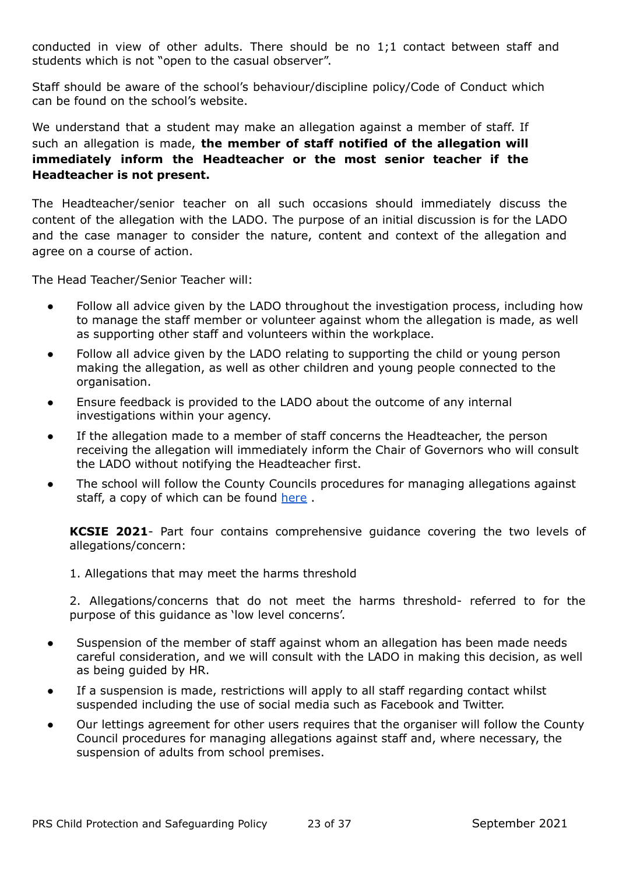conducted in view of other adults. There should be no 1;1 contact between staff and students which is not "open to the casual observer".

Staff should be aware of the school's behaviour/discipline policy/Code of Conduct which can be found on the school's website.

We understand that a student may make an allegation against a member of staff. If such an allegation is made, **the member of staff notified of the allegation will immediately inform the Headteacher or the most senior teacher if the Headteacher is not present.**

The Headteacher/senior teacher on all such occasions should immediately discuss the content of the allegation with the LADO. The purpose of an initial discussion is for the LADO and the case manager to consider the nature, content and context of the allegation and agree on a course of action.

The Head Teacher/Senior Teacher will:

- Follow all advice given by the LADO throughout the investigation process, including how to manage the staff member or volunteer against whom the allegation is made, as well as supporting other staff and volunteers within the workplace.
- Follow all advice given by the LADO relating to supporting the child or young person making the allegation, as well as other children and young people connected to the organisation.
- Ensure feedback is provided to the LADO about the outcome of any internal investigations within your agency.
- If the allegation made to a member of staff concerns the Headteacher, the person receiving the allegation will immediately inform the Chair of Governors who will consult the LADO without notifying the Headteacher first.
- The school will follow the County Councils procedures for managing allegations against staff, a copy of which can be found [here](https://www.buckssafeguarding.org.uk/childrenpartnership/professionals/safer-employment-the-lado-allegations/) .

**KCSIE 2021**- Part four contains comprehensive guidance covering the two levels of allegations/concern:

1. Allegations that may meet the harms threshold

2. Allegations/concerns that do not meet the harms threshold- referred to for the purpose of this guidance as 'low level concerns'.

- Suspension of the member of staff against whom an allegation has been made needs careful consideration, and we will consult with the LADO in making this decision, as well as being guided by HR.
- If a suspension is made, restrictions will apply to all staff regarding contact whilst suspended including the use of social media such as Facebook and Twitter.
- Our lettings agreement for other users requires that the organiser will follow the County Council procedures for managing allegations against staff and, where necessary, the suspension of adults from school premises.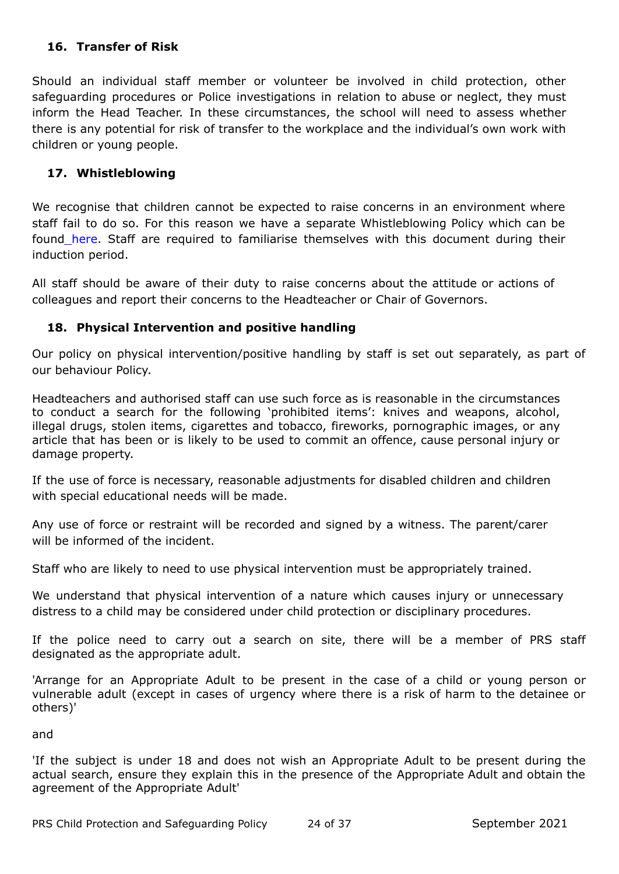# **16. Transfer of Risk**

Should an individual staff member or volunteer be involved in child protection, other safeguarding procedures or Police investigations in relation to abuse or neglect, they must inform the Head Teacher. In these circumstances, the school will need to assess whether there is any potential for risk of transfer to the workplace and the individual's own work with children or young people.

## **17. Whistleblowing**

We recognise that children cannot be expected to raise concerns in an environment where staff fail to do so. For this reason we have a separate Whistleblowing Policy which can be found [here.](https://www.insignis.org.uk/docs/key_policies/IAT_Whistleblowing_Policy_.pdf) Staff are required to familiarise themselves with this document during their induction period.

All staff should be aware of their duty to raise concerns about the attitude or actions of colleagues and report their concerns to the Headteacher or Chair of Governors.

# **18. Physical Intervention and positive handling**

Our policy on physical intervention/positive handling by staff is set out separately, as part of our behaviour Policy.

Headteachers and authorised staff can use such force as is reasonable in the circumstances to conduct a search for the following 'prohibited items': knives and weapons, alcohol, illegal drugs, stolen items, cigarettes and tobacco, fireworks, pornographic images, or any article that has been or is likely to be used to commit an offence, cause personal injury or damage property.

If the use of force is necessary, reasonable adjustments for disabled children and children with special educational needs will be made.

Any use of force or restraint will be recorded and signed by a witness. The parent/carer will be informed of the incident.

Staff who are likely to need to use physical intervention must be appropriately trained.

We understand that physical intervention of a nature which causes injury or unnecessary distress to a child may be considered under child protection or disciplinary procedures.

If the police need to carry out a search on site, there will be a member of PRS staff designated as the appropriate adult.

'Arrange for an Appropriate Adult to be present in the case of a child or young person or vulnerable adult (except in cases of urgency where there is a risk of harm to the detainee or others)'

and

'If the subject is under 18 and does not wish an Appropriate Adult to be present during the actual search, ensure they explain this in the presence of the Appropriate Adult and obtain the agreement of the Appropriate Adult'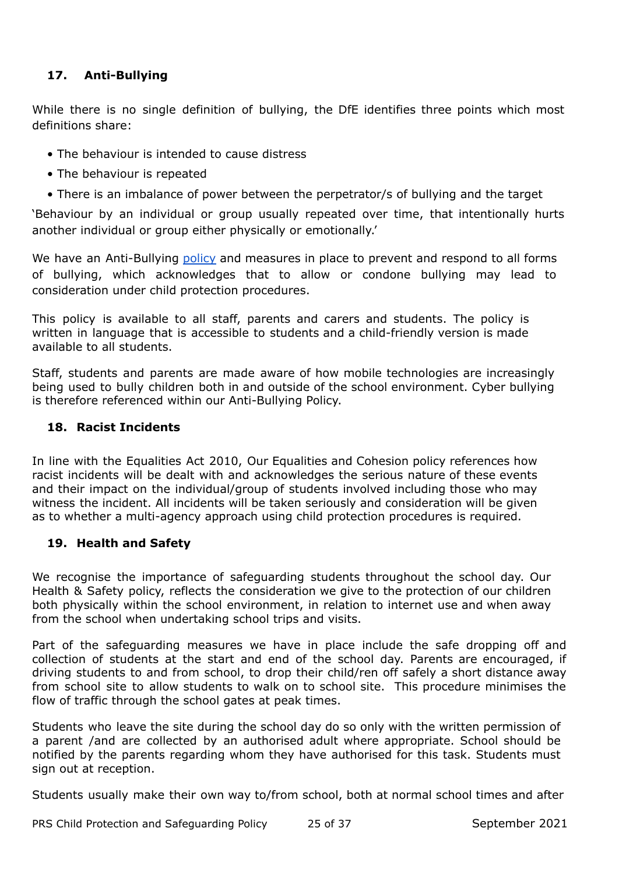# **17. Anti-Bullying**

While there is no single definition of bullying, the DfE identifies three points which most definitions share:

- The behaviour is intended to cause distress
- The behaviour is repeated
- There is an imbalance of power between the perpetrator/s of bullying and the target

'Behaviour by an individual or group usually repeated over time, that intentionally hurts another individual or group either physically or emotionally.'

We have an Anti-Bullying [policy](https://www.princesrisborough.bucks.sch.uk/docs/policies/New_Format_Policies/Anti-Bullying_Policy__Including_Cyberbullying_.pdf) and measures in place to prevent and respond to all forms of bullying, which acknowledges that to allow or condone bullying may lead to consideration under child protection procedures.

This policy is available to all staff, parents and carers and students. The policy is written in language that is accessible to students and a child-friendly version is made available to all students.

Staff, students and parents are made aware of how mobile technologies are increasingly being used to bully children both in and outside of the school environment. Cyber bullying is therefore referenced within our Anti-Bullying Policy.

## **18. Racist Incidents**

In line with the Equalities Act 2010, Our Equalities and Cohesion policy references how racist incidents will be dealt with and acknowledges the serious nature of these events and their impact on the individual/group of students involved including those who may witness the incident. All incidents will be taken seriously and consideration will be given as to whether a multi-agency approach using child protection procedures is required.

## **19. Health and Safety**

We recognise the importance of safeguarding students throughout the school day. Our Health & Safety policy, reflects the consideration we give to the protection of our children both physically within the school environment, in relation to internet use and when away from the school when undertaking school trips and visits.

Part of the safeguarding measures we have in place include the safe dropping off and collection of students at the start and end of the school day. Parents are encouraged, if driving students to and from school, to drop their child/ren off safely a short distance away from school site to allow students to walk on to school site. This procedure minimises the flow of traffic through the school gates at peak times.

Students who leave the site during the school day do so only with the written permission of a parent /and are collected by an authorised adult where appropriate. School should be notified by the parents regarding whom they have authorised for this task. Students must sign out at reception.

Students usually make their own way to/from school, both at normal school times and after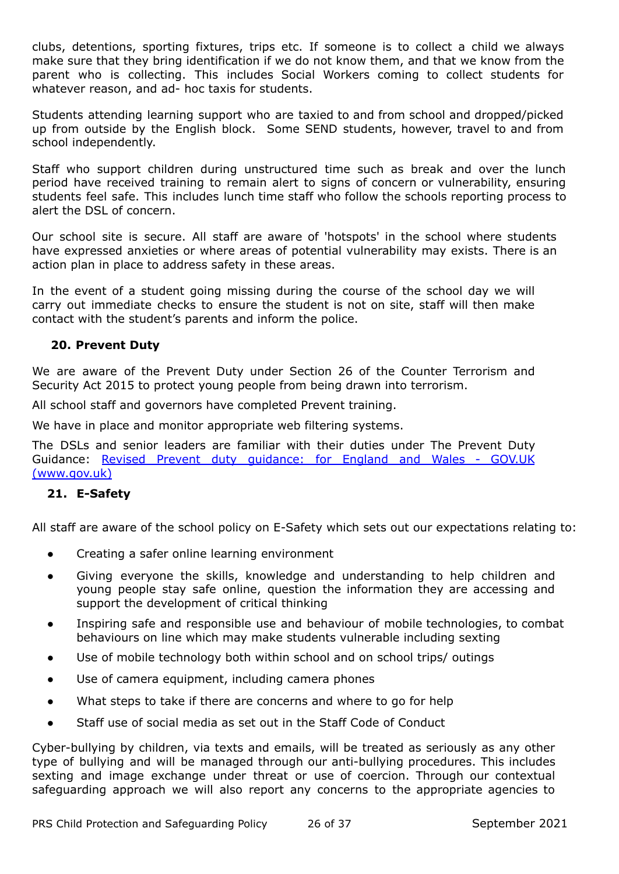clubs, detentions, sporting fixtures, trips etc. If someone is to collect a child we always make sure that they bring identification if we do not know them, and that we know from the parent who is collecting. This includes Social Workers coming to collect students for whatever reason, and ad- hoc taxis for students.

Students attending learning support who are taxied to and from school and dropped/picked up from outside by the English block. Some SEND students, however, travel to and from school independently.

Staff who support children during unstructured time such as break and over the lunch period have received training to remain alert to signs of concern or vulnerability, ensuring students feel safe. This includes lunch time staff who follow the schools reporting process to alert the DSL of concern.

Our school site is secure. All staff are aware of 'hotspots' in the school where students have expressed anxieties or where areas of potential vulnerability may exists. There is an action plan in place to address safety in these areas.

In the event of a student going missing during the course of the school day we will carry out immediate checks to ensure the student is not on site, staff will then make contact with the student's parents and inform the police.

## **20. Prevent Duty**

We are aware of the Prevent Duty under Section 26 of the Counter Terrorism and Security Act 2015 to protect young people from being drawn into terrorism.

All school staff and governors have completed Prevent training.

We have in place and monitor appropriate web filtering systems.

The DSLs and senior leaders are familiar with their duties under The Prevent Duty Guidance: Revised Prevent duty [guidance:](https://www.gov.uk/government/publications/prevent-duty-guidance/revised-prevent-duty-guidance-for-england-and-wales) for England and Wales - GOV.UK [\(www.gov.uk\)](https://www.gov.uk/government/publications/prevent-duty-guidance/revised-prevent-duty-guidance-for-england-and-wales)

#### **21. E-Safety**

All staff are aware of the school policy on E-Safety which sets out our expectations relating to:

- Creating a safer online learning environment
- Giving everyone the skills, knowledge and understanding to help children and young people stay safe online, question the information they are accessing and support the development of critical thinking
- Inspiring safe and responsible use and behaviour of mobile technologies, to combat behaviours on line which may make students vulnerable including sexting
- Use of mobile technology both within school and on school trips/ outings
- Use of camera equipment, including camera phones
- What steps to take if there are concerns and where to go for help
- Staff use of social media as set out in the Staff Code of Conduct

Cyber-bullying by children, via texts and emails, will be treated as seriously as any other type of bullying and will be managed through our anti-bullying procedures. This includes sexting and image exchange under threat or use of coercion. Through our contextual safeguarding approach we will also report any concerns to the appropriate agencies to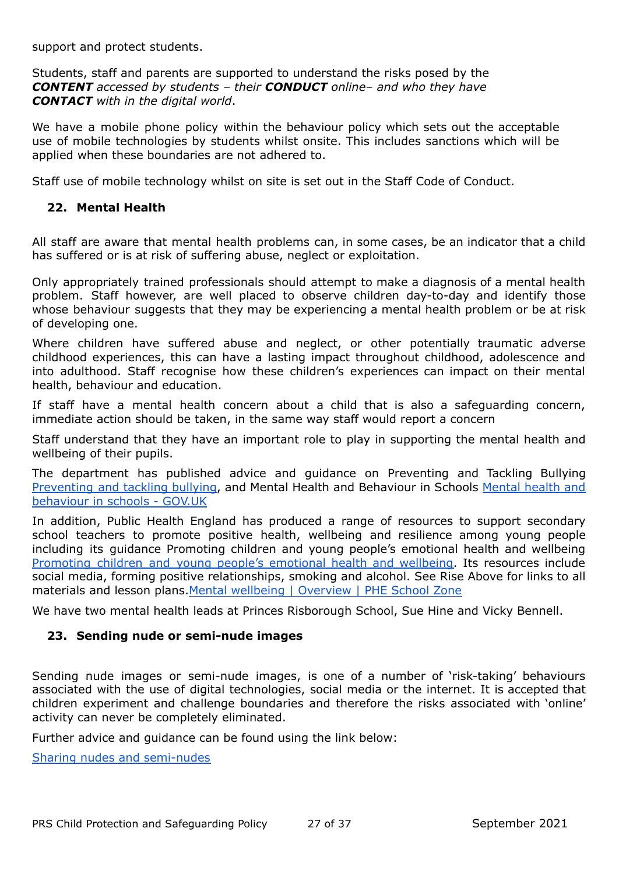support and protect students.

Students, staff and parents are supported to understand the risks posed by the *CONTENT accessed by students – their CONDUCT online– and who they have CONTACT with in the digital world*.

We have a mobile phone policy within the behaviour policy which sets out the acceptable use of mobile technologies by students whilst onsite. This includes sanctions which will be applied when these boundaries are not adhered to.

Staff use of mobile technology whilst on site is set out in the Staff Code of Conduct.

#### **22. Mental Health**

All staff are aware that mental health problems can, in some cases, be an indicator that a child has suffered or is at risk of suffering abuse, neglect or exploitation.

Only appropriately trained professionals should attempt to make a diagnosis of a mental health problem. Staff however, are well placed to observe children day-to-day and identify those whose behaviour suggests that they may be experiencing a mental health problem or be at risk of developing one.

Where children have suffered abuse and neglect, or other potentially traumatic adverse childhood experiences, this can have a lasting impact throughout childhood, adolescence and into adulthood. Staff recognise how these children's experiences can impact on their mental health, behaviour and education.

If staff have a mental health concern about a child that is also a safeguarding concern, immediate action should be taken, in the same way staff would report a concern

Staff understand that they have an important role to play in supporting the mental health and wellbeing of their pupils.

The department has published advice and guidance on Preventing and Tackling Bullying [Preventing](https://assets.publishing.service.gov.uk/government/uploads/system/uploads/attachment_data/file/623895/Preventing_and_tackling_bullying_advice.pdf) and tackling bullying, and Mental Health and Behaviour in Schools [Mental](https://www.gov.uk/government/publications/mental-health-and-behaviour-in-schools--2) health and [behaviour](https://www.gov.uk/government/publications/mental-health-and-behaviour-in-schools--2) in schools - GOV.UK

In addition, Public Health England has produced a range of resources to support secondary school teachers to promote positive health, wellbeing and resilience among young people including its guidance Promoting children and young people's emotional health and wellbeing [Promoting](https://www.gov.uk/government/publications/promoting-children-and-young-peoples-emotional-health-and-wellbeing) children and young people's emotional health and wellbeing. Its resources include social media, forming positive relationships, smoking and alcohol. See Rise Above for links to all materials and lesson plans.Mental [wellbeing](https://campaignresources.phe.gov.uk/schools/topics/mental-wellbeing/overview) | Overview | PHE School Zone

We have two mental health leads at Princes Risborough School, Sue Hine and Vicky Bennell.

#### **23. Sending nude or semi-nude images**

Sending nude images or semi-nude images, is one of a number of 'risk-taking' behaviours associated with the use of digital technologies, social media or the internet. It is accepted that children experiment and challenge boundaries and therefore the risks associated with 'online' activity can never be completely eliminated.

Further advice and guidance can be found using the link below:

Sharing nudes and [semi-nudes](https://assets.publishing.service.gov.uk/government/uploads/system/uploads/attachment_data/file/947545/UKCIS_sharing_nudes_and_semi_nudes_advice_for_education_settings_V2.pdf)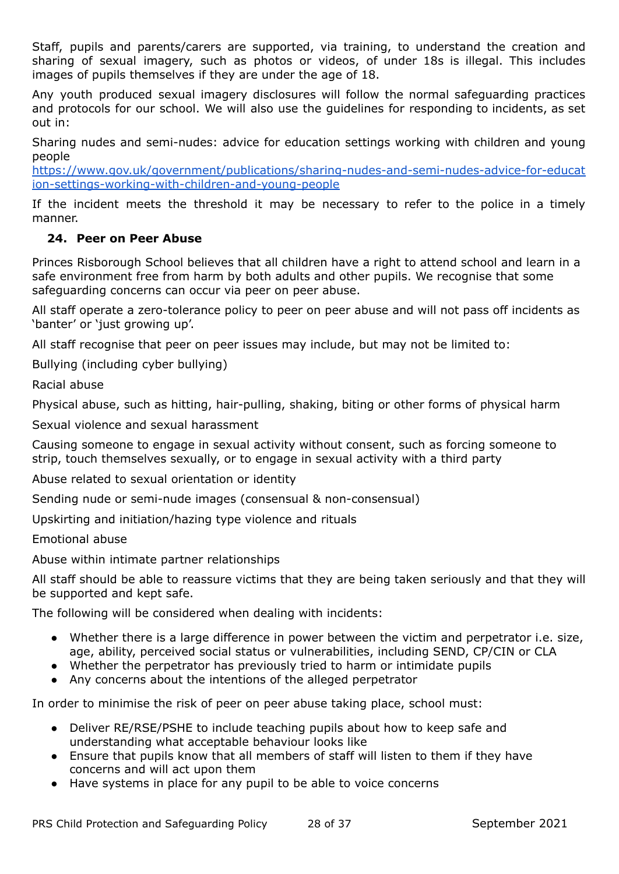Staff, pupils and parents/carers are supported, via training, to understand the creation and sharing of sexual imagery, such as photos or videos, of under 18s is illegal. This includes images of pupils themselves if they are under the age of 18.

Any youth produced sexual imagery disclosures will follow the normal safeguarding practices and protocols for our school. We will also use the guidelines for responding to incidents, as set out in:

Sharing nudes and semi-nudes: advice for education settings working with children and young people

[https://www.gov.uk/government/publications/sharing-nudes-and-semi-nudes-advice-for-educat](https://www.gov.uk/government/publications/sharing-nudes-and-semi-nudes-advice-for-education-settings-working-with-children-and-young-people) [ion-settings-working-with-children-and-young-people](https://www.gov.uk/government/publications/sharing-nudes-and-semi-nudes-advice-for-education-settings-working-with-children-and-young-people)

If the incident meets the threshold it may be necessary to refer to the police in a timely manner.

# **24. Peer on Peer Abuse**

Princes Risborough School believes that all children have a right to attend school and learn in a safe environment free from harm by both adults and other pupils. We recognise that some safeguarding concerns can occur via peer on peer abuse.

All staff operate a zero-tolerance policy to peer on peer abuse and will not pass off incidents as 'banter' or 'just growing up'.

All staff recognise that peer on peer issues may include, but may not be limited to:

Bullying (including cyber bullying)

Racial abuse

Physical abuse, such as hitting, hair-pulling, shaking, biting or other forms of physical harm

Sexual violence and sexual harassment

Causing someone to engage in sexual activity without consent, such as forcing someone to strip, touch themselves sexually, or to engage in sexual activity with a third party

Abuse related to sexual orientation or identity

Sending nude or semi-nude images (consensual & non-consensual)

Upskirting and initiation/hazing type violence and rituals

Emotional abuse

Abuse within intimate partner relationships

All staff should be able to reassure victims that they are being taken seriously and that they will be supported and kept safe.

The following will be considered when dealing with incidents:

- Whether there is a large difference in power between the victim and perpetrator i.e. size, age, ability, perceived social status or vulnerabilities, including SEND, CP/CIN or CLA
- Whether the perpetrator has previously tried to harm or intimidate pupils
- Any concerns about the intentions of the alleged perpetrator

In order to minimise the risk of peer on peer abuse taking place, school must:

- Deliver RE/RSE/PSHE to include teaching pupils about how to keep safe and understanding what acceptable behaviour looks like
- Ensure that pupils know that all members of staff will listen to them if they have concerns and will act upon them
- Have systems in place for any pupil to be able to voice concerns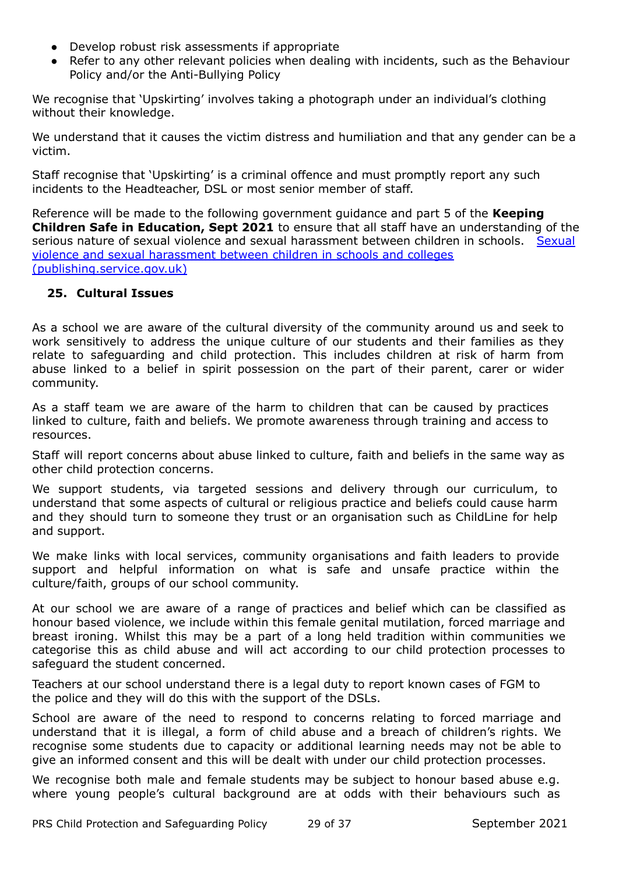- Develop robust risk assessments if appropriate
- Refer to any other relevant policies when dealing with incidents, such as the Behaviour Policy and/or the Anti-Bullying Policy

We recognise that 'Upskirting' involves taking a photograph under an individual's clothing without their knowledge.

We understand that it causes the victim distress and humiliation and that any gender can be a victim.

Staff recognise that 'Upskirting' is a criminal offence and must promptly report any such incidents to the Headteacher, DSL or most senior member of staff.

Reference will be made to the following government guidance and part 5 of the **Keeping Children Safe in Education, Sept 2021** to ensure that all staff have an understanding of the serious nature of sexual violence and sexual harassment between children in schools. [Sexual](https://assets.publishing.service.gov.uk/government/uploads/system/uploads/attachment_data/file/999239/SVSH_2021.pdf) violence and sexual [harassment](https://assets.publishing.service.gov.uk/government/uploads/system/uploads/attachment_data/file/999239/SVSH_2021.pdf) between children in schools and colleges [\(publishing.service.gov.uk\)](https://assets.publishing.service.gov.uk/government/uploads/system/uploads/attachment_data/file/999239/SVSH_2021.pdf)

#### **25. Cultural Issues**

As a school we are aware of the cultural diversity of the community around us and seek to work sensitively to address the unique culture of our students and their families as they relate to safeguarding and child protection. This includes children at risk of harm from abuse linked to a belief in spirit possession on the part of their parent, carer or wider community.

As a staff team we are aware of the harm to children that can be caused by practices linked to culture, faith and beliefs. We promote awareness through training and access to resources.

Staff will report concerns about abuse linked to culture, faith and beliefs in the same way as other child protection concerns.

We support students, via targeted sessions and delivery through our curriculum, to understand that some aspects of cultural or religious practice and beliefs could cause harm and they should turn to someone they trust or an organisation such as ChildLine for help and support.

We make links with local services, community organisations and faith leaders to provide support and helpful information on what is safe and unsafe practice within the culture/faith, groups of our school community.

At our school we are aware of a range of practices and belief which can be classified as honour based violence, we include within this female genital mutilation, forced marriage and breast ironing. Whilst this may be a part of a long held tradition within communities we categorise this as child abuse and will act according to our child protection processes to safeguard the student concerned.

Teachers at our school understand there is a legal duty to report known cases of FGM to the police and they will do this with the support of the DSLs.

School are aware of the need to respond to concerns relating to forced marriage and understand that it is illegal, a form of child abuse and a breach of children's rights. We recognise some students due to capacity or additional learning needs may not be able to give an informed consent and this will be dealt with under our child protection processes.

We recognise both male and female students may be subject to honour based abuse e.g. where young people's cultural background are at odds with their behaviours such as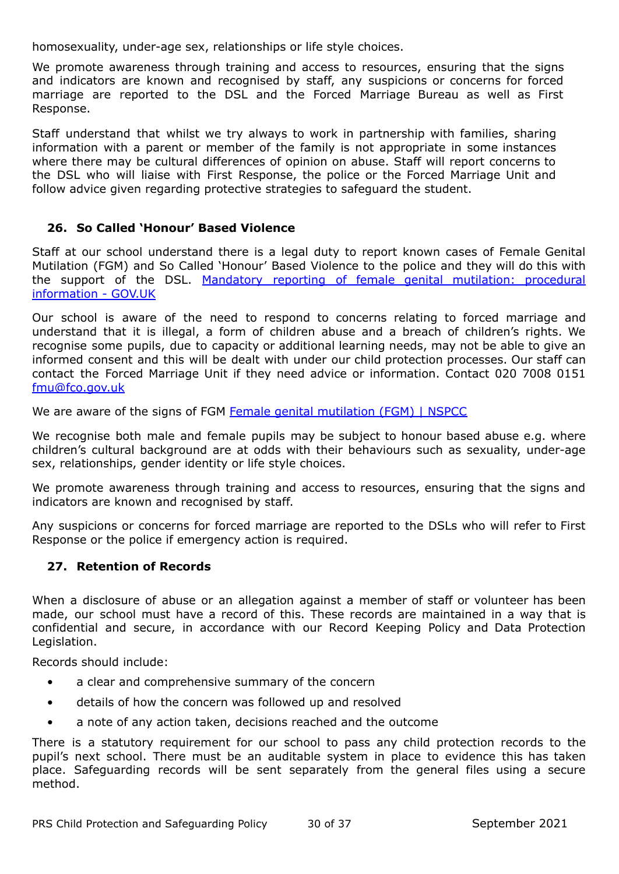homosexuality, under-age sex, relationships or life style choices.

We promote awareness through training and access to resources, ensuring that the signs and indicators are known and recognised by staff, any suspicions or concerns for forced marriage are reported to the DSL and the Forced Marriage Bureau as well as First Response.

Staff understand that whilst we try always to work in partnership with families, sharing information with a parent or member of the family is not appropriate in some instances where there may be cultural differences of opinion on abuse. Staff will report concerns to the DSL who will liaise with First Response, the police or the Forced Marriage Unit and follow advice given regarding protective strategies to safeguard the student.

## **26. So Called 'Honour' Based Violence**

Staff at our school understand there is a legal duty to report known cases of Female Genital Mutilation (FGM) and So Called 'Honour' Based Violence to the police and they will do this with the support of the DSL. Mandatory reporting of female genital [mutilation:](https://www.gov.uk/government/publications/mandatory-reporting-of-female-genital-mutilation-procedural-information) procedural [information](https://www.gov.uk/government/publications/mandatory-reporting-of-female-genital-mutilation-procedural-information) - GOV.UK

Our school is aware of the need to respond to concerns relating to forced marriage and understand that it is illegal, a form of children abuse and a breach of children's rights. We recognise some pupils, due to capacity or additional learning needs, may not be able to give an informed consent and this will be dealt with under our child protection processes. Our staff can contact the Forced Marriage Unit if they need advice or information. Contact 020 7008 0151 [fmu@fco.gov.uk](mailto:fmu@fco.gov.uk)

We are aware of the signs of FGM Female genital [mutilation](https://www.nspcc.org.uk/what-is-child-abuse/types-of-abuse/female-genital-mutilation-fgm/) (FGM) I NSPCC

We recognise both male and female pupils may be subject to honour based abuse e.g. where children's cultural background are at odds with their behaviours such as sexuality, under-age sex, relationships, gender identity or life style choices.

We promote awareness through training and access to resources, ensuring that the signs and indicators are known and recognised by staff.

Any suspicions or concerns for forced marriage are reported to the DSLs who will refer to First Response or the police if emergency action is required.

## **27. Retention of Records**

When a disclosure of abuse or an allegation against a member of staff or volunteer has been made, our school must have a record of this. These records are maintained in a way that is confidential and secure, in accordance with our Record Keeping Policy and Data Protection Legislation.

Records should include:

- a clear and comprehensive summary of the concern
- details of how the concern was followed up and resolved
- a note of any action taken, decisions reached and the outcome

There is a statutory requirement for our school to pass any child protection records to the pupil's next school. There must be an auditable system in place to evidence this has taken place. Safeguarding records will be sent separately from the general files using a secure method.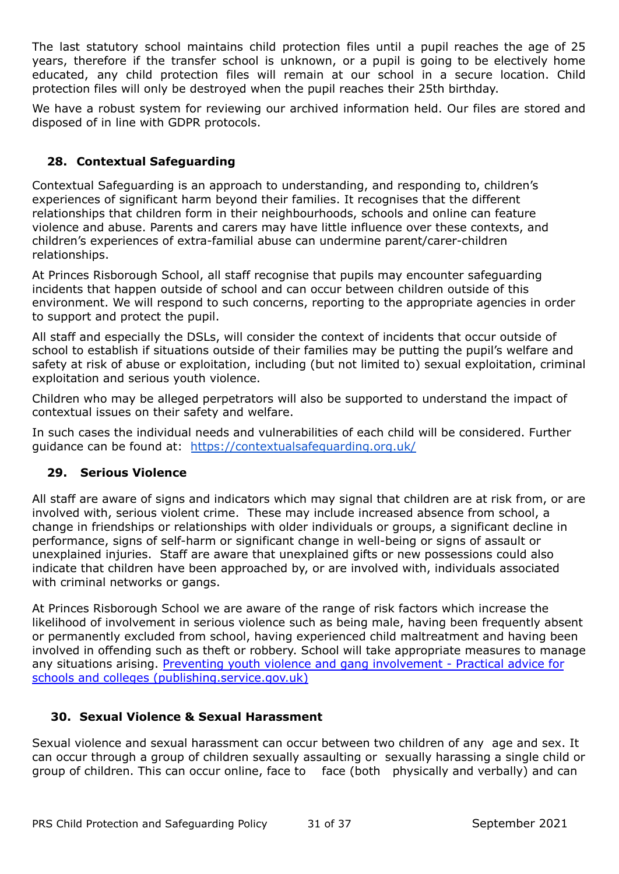The last statutory school maintains child protection files until a pupil reaches the age of 25 years, therefore if the transfer school is unknown, or a pupil is going to be electively home educated, any child protection files will remain at our school in a secure location. Child protection files will only be destroyed when the pupil reaches their 25th birthday.

We have a robust system for reviewing our archived information held. Our files are stored and disposed of in line with GDPR protocols.

# **28. Contextual Safeguarding**

Contextual Safeguarding is an approach to understanding, and responding to, children's experiences of significant harm beyond their families. It recognises that the different relationships that children form in their neighbourhoods, schools and online can feature violence and abuse. Parents and carers may have little influence over these contexts, and children's experiences of extra-familial abuse can undermine parent/carer-children relationships.

At Princes Risborough School, all staff recognise that pupils may encounter safeguarding incidents that happen outside of school and can occur between children outside of this environment. We will respond to such concerns, reporting to the appropriate agencies in order to support and protect the pupil.

All staff and especially the DSLs, will consider the context of incidents that occur outside of school to establish if situations outside of their families may be putting the pupil's welfare and safety at risk of abuse or exploitation, including (but not limited to) sexual exploitation, criminal exploitation and serious youth violence.

Children who may be alleged perpetrators will also be supported to understand the impact of contextual issues on their safety and welfare.

In such cases the individual needs and vulnerabilities of each child will be considered. Further guidance can be found at: <https://contextualsafeguarding.org.uk/>

## **29. Serious Violence**

All staff are aware of signs and indicators which may signal that children are at risk from, or are involved with, serious violent crime. These may include increased absence from school, a change in friendships or relationships with older individuals or groups, a significant decline in performance, signs of self-harm or significant change in well-being or signs of assault or unexplained injuries. Staff are aware that unexplained gifts or new possessions could also indicate that children have been approached by, or are involved with, individuals associated with criminal networks or gangs.

At Princes Risborough School we are aware of the range of risk factors which increase the likelihood of involvement in serious violence such as being male, having been frequently absent or permanently excluded from school, having experienced child maltreatment and having been involved in offending such as theft or robbery. School will take appropriate measures to manage any situations arising. Preventing youth violence and gang [involvement](https://assets.publishing.service.gov.uk/government/uploads/system/uploads/attachment_data/file/418131/Preventing_youth_violence_and_gang_involvement_v3_March2015.pdf) - Practical advice for schools and colleges [\(publishing.service.gov.uk\)](https://assets.publishing.service.gov.uk/government/uploads/system/uploads/attachment_data/file/418131/Preventing_youth_violence_and_gang_involvement_v3_March2015.pdf)

## **30. Sexual Violence & Sexual Harassment**

Sexual violence and sexual harassment can occur between two children of any age and sex. It can occur through a group of children sexually assaulting or sexually harassing a single child or group of children. This can occur online, face to face (both physically and verbally) and can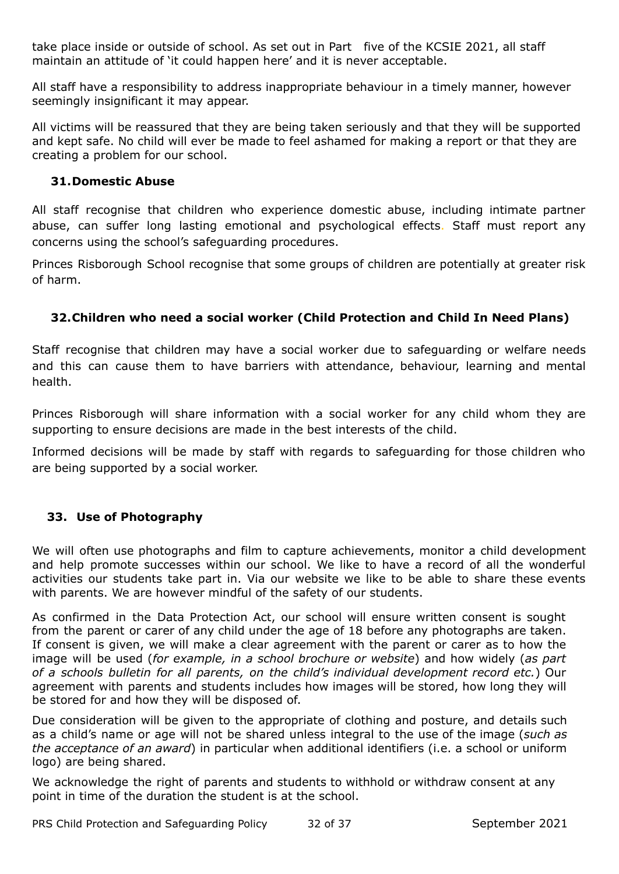take place inside or outside of school. As set out in Part five of the KCSIE 2021, all staff maintain an attitude of 'it could happen here' and it is never acceptable.

All staff have a responsibility to address inappropriate behaviour in a timely manner, however seemingly insignificant it may appear.

All victims will be reassured that they are being taken seriously and that they will be supported and kept safe. No child will ever be made to feel ashamed for making a report or that they are creating a problem for our school.

# **31.Domestic Abuse**

All staff recognise that children who experience domestic abuse, including intimate partner abuse, can suffer long lasting emotional and psychological effects. Staff must report any concerns using the school's safeguarding procedures.

Princes Risborough School recognise that some groups of children are potentially at greater risk of harm.

# **32.Children who need a social worker (Child Protection and Child In Need Plans)**

Staff recognise that children may have a social worker due to safeguarding or welfare needs and this can cause them to have barriers with attendance, behaviour, learning and mental health.

Princes Risborough will share information with a social worker for any child whom they are supporting to ensure decisions are made in the best interests of the child.

Informed decisions will be made by staff with regards to safeguarding for those children who are being supported by a social worker.

# **33. Use of Photography**

We will often use photographs and film to capture achievements, monitor a child development and help promote successes within our school. We like to have a record of all the wonderful activities our students take part in. Via our website we like to be able to share these events with parents. We are however mindful of the safety of our students.

As confirmed in the Data Protection Act, our school will ensure written consent is sought from the parent or carer of any child under the age of 18 before any photographs are taken. If consent is given, we will make a clear agreement with the parent or carer as to how the image will be used (*for example, in a school brochure or website*) and how widely (*as part of a schools bulletin for all parents, on the child's individual development record etc.*) Our agreement with parents and students includes how images will be stored, how long they will be stored for and how they will be disposed of.

Due consideration will be given to the appropriate of clothing and posture, and details such as a child's name or age will not be shared unless integral to the use of the image (*such as the acceptance of an award*) in particular when additional identifiers (i.e. a school or uniform logo) are being shared.

We acknowledge the right of parents and students to withhold or withdraw consent at any point in time of the duration the student is at the school.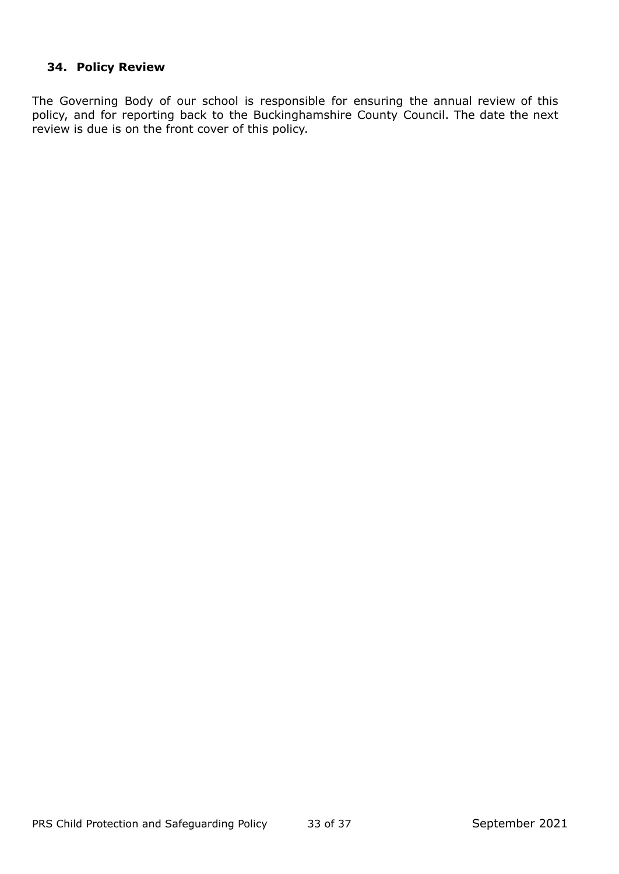# **34. Policy Review**

The Governing Body of our school is responsible for ensuring the annual review of this policy, and for reporting back to the Buckinghamshire County Council. The date the next review is due is on the front cover of this policy.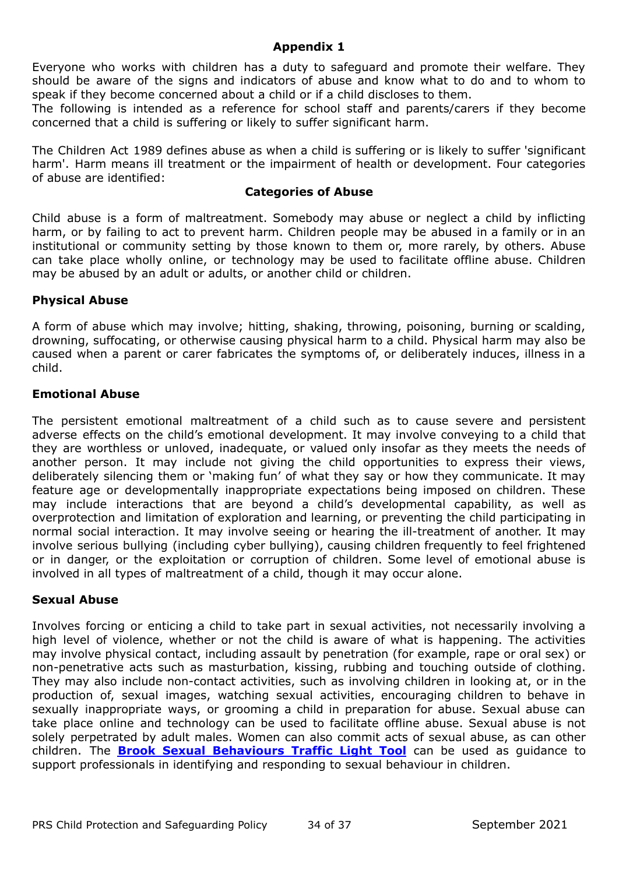#### **Appendix 1**

Everyone who works with children has a duty to safeguard and promote their welfare. They should be aware of the signs and indicators of abuse and know what to do and to whom to speak if they become concerned about a child or if a child discloses to them.

The following is intended as a reference for school staff and parents/carers if they become concerned that a child is suffering or likely to suffer significant harm.

The Children Act 1989 defines abuse as when a child is suffering or is likely to suffer 'significant harm'. Harm means ill treatment or the impairment of health or development. Four categories of abuse are identified:

#### **Categories of Abuse**

Child abuse is a form of maltreatment. Somebody may abuse or neglect a child by inflicting harm, or by failing to act to prevent harm. Children people may be abused in a family or in an institutional or community setting by those known to them or, more rarely, by others. Abuse can take place wholly online, or technology may be used to facilitate offline abuse. Children may be abused by an adult or adults, or another child or children.

#### **Physical Abuse**

A form of abuse which may involve; hitting, shaking, throwing, poisoning, burning or scalding, drowning, suffocating, or otherwise causing physical harm to a child. Physical harm may also be caused when a parent or carer fabricates the symptoms of, or deliberately induces, illness in a child.

#### **Emotional Abuse**

The persistent emotional maltreatment of a child such as to cause severe and persistent adverse effects on the child's emotional development. It may involve conveying to a child that they are worthless or unloved, inadequate, or valued only insofar as they meets the needs of another person. It may include not giving the child opportunities to express their views, deliberately silencing them or 'making fun' of what they say or how they communicate. It may feature age or developmentally inappropriate expectations being imposed on children. These may include interactions that are beyond a child's developmental capability, as well as overprotection and limitation of exploration and learning, or preventing the child participating in normal social interaction. It may involve seeing or hearing the ill-treatment of another. It may involve serious bullying (including cyber bullying), causing children frequently to feel frightened or in danger, or the exploitation or corruption of children. Some level of emotional abuse is involved in all types of maltreatment of a child, though it may occur alone.

## **Sexual Abuse**

Involves forcing or enticing a child to take part in sexual activities, not necessarily involving a high level of violence, whether or not the child is aware of what is happening. The activities may involve physical contact, including assault by penetration (for example, rape or oral sex) or non-penetrative acts such as masturbation, kissing, rubbing and touching outside of clothing. They may also include non-contact activities, such as involving children in looking at, or in the production of, sexual images, watching sexual activities, encouraging children to behave in sexually inappropriate ways, or grooming a child in preparation for abuse. Sexual abuse can take place online and technology can be used to facilitate offline abuse. Sexual abuse is not solely perpetrated by adult males. Women can also commit acts of sexual abuse, as can other children. The **Brook Sexual [Behaviours](https://www.brook.org.uk/our-work/the-sexual-behaviours-traffic-light-tool) Traffic Light Tool** can be used as guidance to support professionals in identifying and responding to sexual behaviour in children.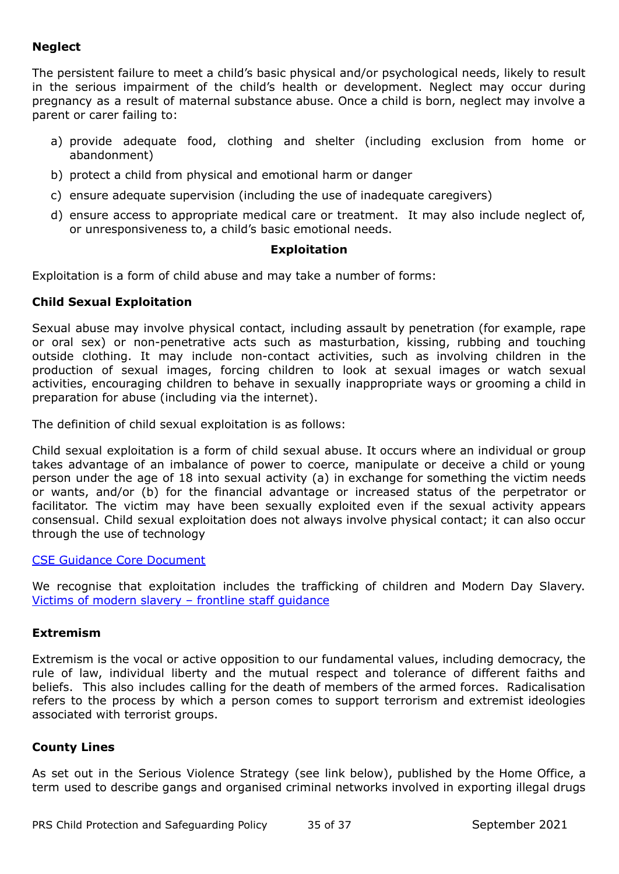# **Neglect**

The persistent failure to meet a child's basic physical and/or psychological needs, likely to result in the serious impairment of the child's health or development. Neglect may occur during pregnancy as a result of maternal substance abuse. Once a child is born, neglect may involve a parent or carer failing to:

- a) provide adequate food, clothing and shelter (including exclusion from home or abandonment)
- b) protect a child from physical and emotional harm or danger
- c) ensure adequate supervision (including the use of inadequate caregivers)
- d) ensure access to appropriate medical care or treatment. It may also include neglect of, or unresponsiveness to, a child's basic emotional needs.

#### **Exploitation**

Exploitation is a form of child abuse and may take a number of forms:

#### **Child Sexual Exploitation**

Sexual abuse may involve physical contact, including assault by penetration (for example, rape or oral sex) or non-penetrative acts such as masturbation, kissing, rubbing and touching outside clothing. It may include non-contact activities, such as involving children in the production of sexual images, forcing children to look at sexual images or watch sexual activities, encouraging children to behave in sexually inappropriate ways or grooming a child in preparation for abuse (including via the internet).

The definition of child sexual exploitation is as follows:

Child sexual exploitation is a form of child sexual abuse. It occurs where an individual or group takes advantage of an imbalance of power to coerce, manipulate or deceive a child or young person under the age of 18 into sexual activity (a) in exchange for something the victim needs or wants, and/or (b) for the financial advantage or increased status of the perpetrator or facilitator. The victim may have been sexually exploited even if the sexual activity appears consensual. Child sexual exploitation does not always involve physical contact; it can also occur through the use of technology

#### CSE Guidance Core [Document](https://assets.publishing.service.gov.uk/government/uploads/system/uploads/attachment_data/file/591903/CSE_Guidance_Core_Document_13.02.2017.pdf)

We recognise that exploitation includes the trafficking of children and Modern Day Slavery. Victims of modern slavery – frontline staff [guidance](https://assets.publishing.service.gov.uk/government/uploads/system/uploads/attachment_data/file/509326/victims-of-modern-slavery-frontline-staff-guidance-v3.pdf)

#### **Extremism**

Extremism is the vocal or active opposition to our fundamental values, including democracy, the rule of law, individual liberty and the mutual respect and tolerance of different faiths and beliefs. This also includes calling for the death of members of the armed forces. Radicalisation refers to the process by which a person comes to support terrorism and extremist ideologies associated with terrorist groups.

#### **County Lines**

As set out in the Serious Violence Strategy (see link below), published by the Home Office, a term used to describe gangs and organised criminal networks involved in exporting illegal drugs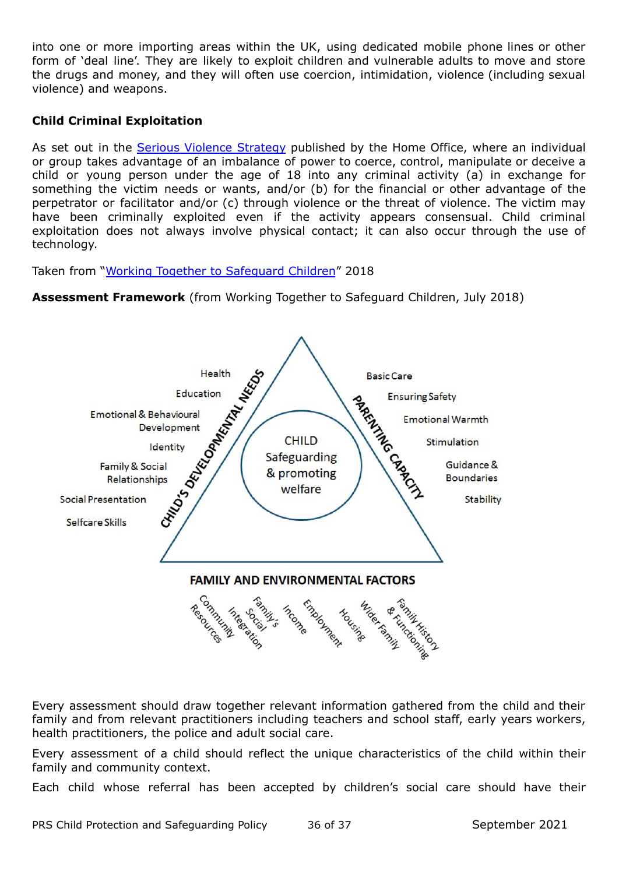into one or more importing areas within the UK, using dedicated mobile phone lines or other form of 'deal line'. They are likely to exploit children and vulnerable adults to move and store the drugs and money, and they will often use coercion, intimidation, violence (including sexual violence) and weapons.

# **Child Criminal Exploitation**

As set out in the Serious Violence [Strategy](https://www.gov.uk/government/publications/serious-violence-strategy) published by the Home Office, where an individual or group takes advantage of an imbalance of power to coerce, control, manipulate or deceive a child or young person under the age of 18 into any criminal activity (a) in exchange for something the victim needs or wants, and/or (b) for the financial or other advantage of the perpetrator or facilitator and/or (c) through violence or the threat of violence. The victim may have been criminally exploited even if the activity appears consensual. Child criminal exploitation does not always involve physical contact; it can also occur through the use of technology.

Taken from "Working Together to [Safeguard](https://assets.publishing.service.gov.uk/government/uploads/system/uploads/attachment_data/file/779401/Working_Together_to_Safeguard-Children.pdf) Children" 2018

**Assessment Framework** (from Working Together to Safeguard Children, July 2018)



Every assessment should draw together relevant information gathered from the child and their family and from relevant practitioners including teachers and school staff, early years workers, health practitioners, the police and adult social care.

Every assessment of a child should reflect the unique characteristics of the child within their family and community context.

Each child whose referral has been accepted by children's social care should have their